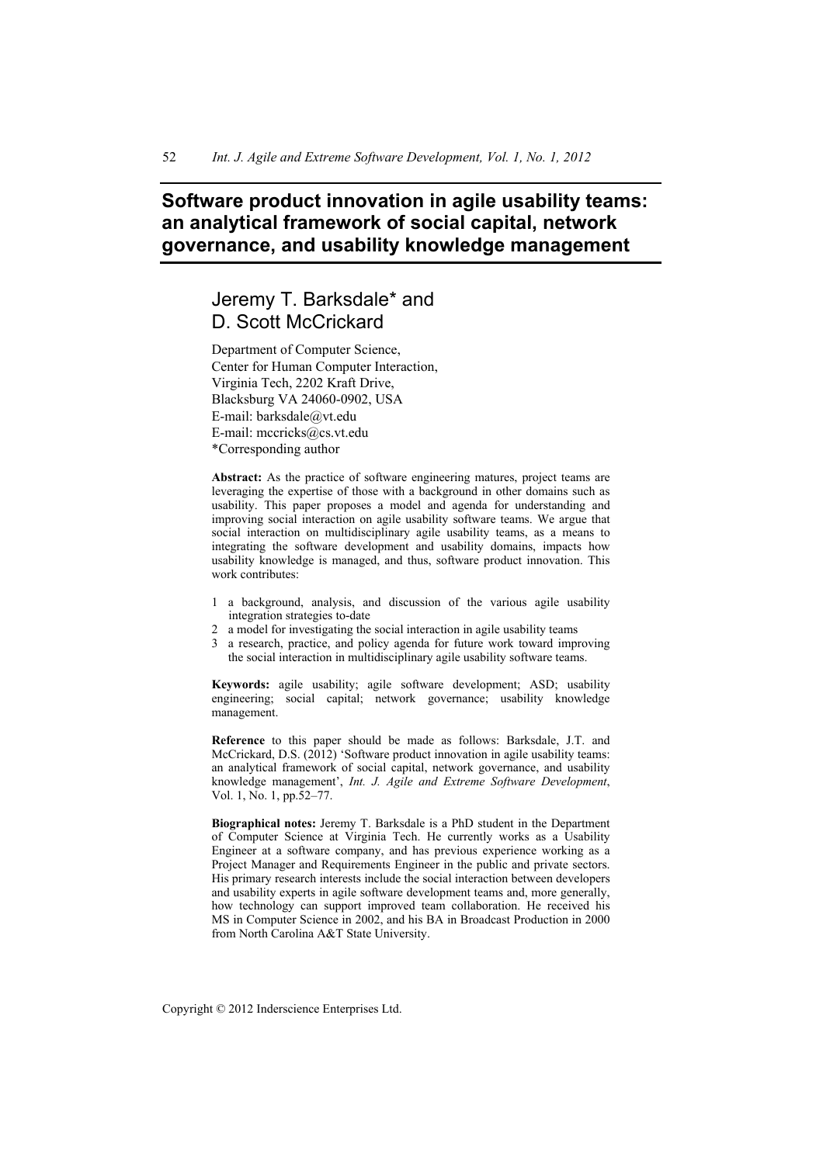# **Software product innovation in agile usability teams: an analytical framework of social capital, network governance, and usability knowledge management**

# Jeremy T. Barksdale\* and D. Scott McCrickard

Department of Computer Science, Center for Human Computer Interaction, Virginia Tech, 2202 Kraft Drive, Blacksburg VA 24060-0902, USA E-mail: barksdale@vt.edu E-mail: mccricks@cs.vt.edu \*Corresponding author

**Abstract:** As the practice of software engineering matures, project teams are leveraging the expertise of those with a background in other domains such as usability. This paper proposes a model and agenda for understanding and improving social interaction on agile usability software teams. We argue that social interaction on multidisciplinary agile usability teams, as a means to integrating the software development and usability domains, impacts how usability knowledge is managed, and thus, software product innovation. This work contributes:

- 1 a background, analysis, and discussion of the various agile usability integration strategies to-date
- 2 a model for investigating the social interaction in agile usability teams
- a research, practice, and policy agenda for future work toward improving the social interaction in multidisciplinary agile usability software teams.

**Keywords:** agile usability; agile software development; ASD; usability engineering; social capital; network governance; usability knowledge management.

**Reference** to this paper should be made as follows: Barksdale, J.T. and McCrickard, D.S. (2012) 'Software product innovation in agile usability teams: an analytical framework of social capital, network governance, and usability knowledge management', *Int. J. Agile and Extreme Software Development*, Vol. 1, No. 1, pp.52–77.

**Biographical notes:** Jeremy T. Barksdale is a PhD student in the Department of Computer Science at Virginia Tech. He currently works as a Usability Engineer at a software company, and has previous experience working as a Project Manager and Requirements Engineer in the public and private sectors. His primary research interests include the social interaction between developers and usability experts in agile software development teams and, more generally, how technology can support improved team collaboration. He received his MS in Computer Science in 2002, and his BA in Broadcast Production in 2000 from North Carolina A&T State University.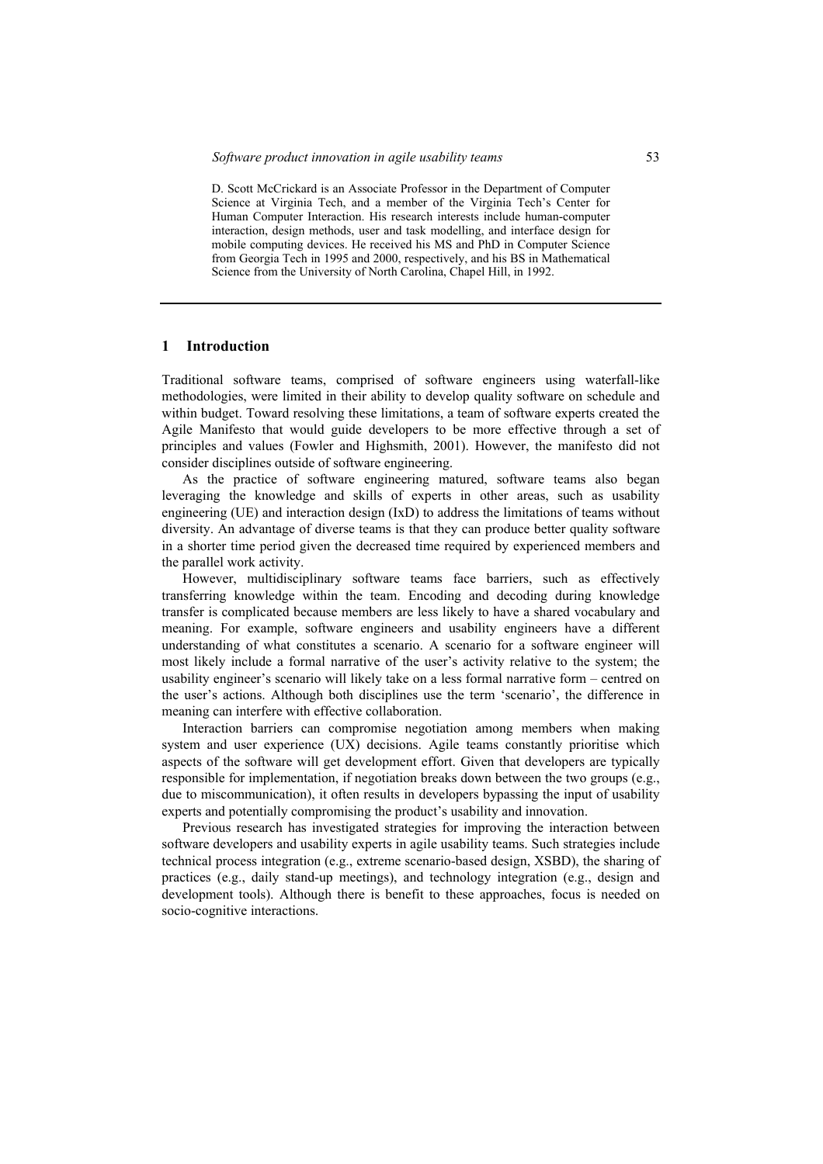D. Scott McCrickard is an Associate Professor in the Department of Computer Science at Virginia Tech, and a member of the Virginia Tech's Center for Human Computer Interaction. His research interests include human-computer interaction, design methods, user and task modelling, and interface design for mobile computing devices. He received his MS and PhD in Computer Science from Georgia Tech in 1995 and 2000, respectively, and his BS in Mathematical Science from the University of North Carolina, Chapel Hill, in 1992.

## **1 Introduction**

Traditional software teams, comprised of software engineers using waterfall-like methodologies, were limited in their ability to develop quality software on schedule and within budget. Toward resolving these limitations, a team of software experts created the Agile Manifesto that would guide developers to be more effective through a set of principles and values (Fowler and Highsmith, 2001). However, the manifesto did not consider disciplines outside of software engineering.

As the practice of software engineering matured, software teams also began leveraging the knowledge and skills of experts in other areas, such as usability engineering (UE) and interaction design (IxD) to address the limitations of teams without diversity. An advantage of diverse teams is that they can produce better quality software in a shorter time period given the decreased time required by experienced members and the parallel work activity.

However, multidisciplinary software teams face barriers, such as effectively transferring knowledge within the team. Encoding and decoding during knowledge transfer is complicated because members are less likely to have a shared vocabulary and meaning. For example, software engineers and usability engineers have a different understanding of what constitutes a scenario. A scenario for a software engineer will most likely include a formal narrative of the user's activity relative to the system; the usability engineer's scenario will likely take on a less formal narrative form – centred on the user's actions. Although both disciplines use the term 'scenario', the difference in meaning can interfere with effective collaboration.

Interaction barriers can compromise negotiation among members when making system and user experience (UX) decisions. Agile teams constantly prioritise which aspects of the software will get development effort. Given that developers are typically responsible for implementation, if negotiation breaks down between the two groups (e.g., due to miscommunication), it often results in developers bypassing the input of usability experts and potentially compromising the product's usability and innovation.

Previous research has investigated strategies for improving the interaction between software developers and usability experts in agile usability teams. Such strategies include technical process integration (e.g., extreme scenario-based design, XSBD), the sharing of practices (e.g., daily stand-up meetings), and technology integration (e.g., design and development tools). Although there is benefit to these approaches, focus is needed on socio-cognitive interactions.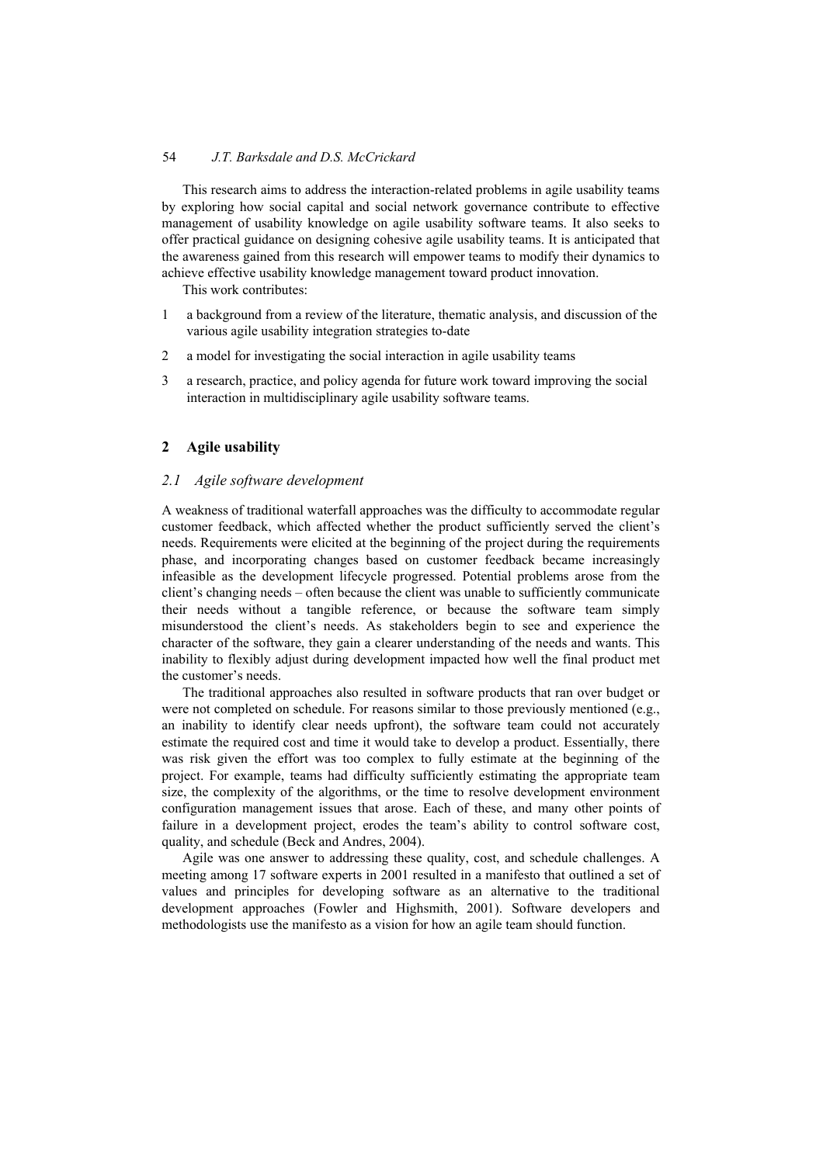This research aims to address the interaction-related problems in agile usability teams by exploring how social capital and social network governance contribute to effective management of usability knowledge on agile usability software teams. It also seeks to offer practical guidance on designing cohesive agile usability teams. It is anticipated that the awareness gained from this research will empower teams to modify their dynamics to achieve effective usability knowledge management toward product innovation.

This work contributes:

- 1 a background from a review of the literature, thematic analysis, and discussion of the various agile usability integration strategies to-date
- 2 a model for investigating the social interaction in agile usability teams
- 3 a research, practice, and policy agenda for future work toward improving the social interaction in multidisciplinary agile usability software teams.

## **2 Agile usability**

## *2.1 Agile software development*

A weakness of traditional waterfall approaches was the difficulty to accommodate regular customer feedback, which affected whether the product sufficiently served the client's needs. Requirements were elicited at the beginning of the project during the requirements phase, and incorporating changes based on customer feedback became increasingly infeasible as the development lifecycle progressed. Potential problems arose from the client's changing needs – often because the client was unable to sufficiently communicate their needs without a tangible reference, or because the software team simply misunderstood the client's needs. As stakeholders begin to see and experience the character of the software, they gain a clearer understanding of the needs and wants. This inability to flexibly adjust during development impacted how well the final product met the customer's needs.

The traditional approaches also resulted in software products that ran over budget or were not completed on schedule. For reasons similar to those previously mentioned (e.g., an inability to identify clear needs upfront), the software team could not accurately estimate the required cost and time it would take to develop a product. Essentially, there was risk given the effort was too complex to fully estimate at the beginning of the project. For example, teams had difficulty sufficiently estimating the appropriate team size, the complexity of the algorithms, or the time to resolve development environment configuration management issues that arose. Each of these, and many other points of failure in a development project, erodes the team's ability to control software cost, quality, and schedule (Beck and Andres, 2004).

Agile was one answer to addressing these quality, cost, and schedule challenges. A meeting among 17 software experts in 2001 resulted in a manifesto that outlined a set of values and principles for developing software as an alternative to the traditional development approaches (Fowler and Highsmith, 2001). Software developers and methodologists use the manifesto as a vision for how an agile team should function.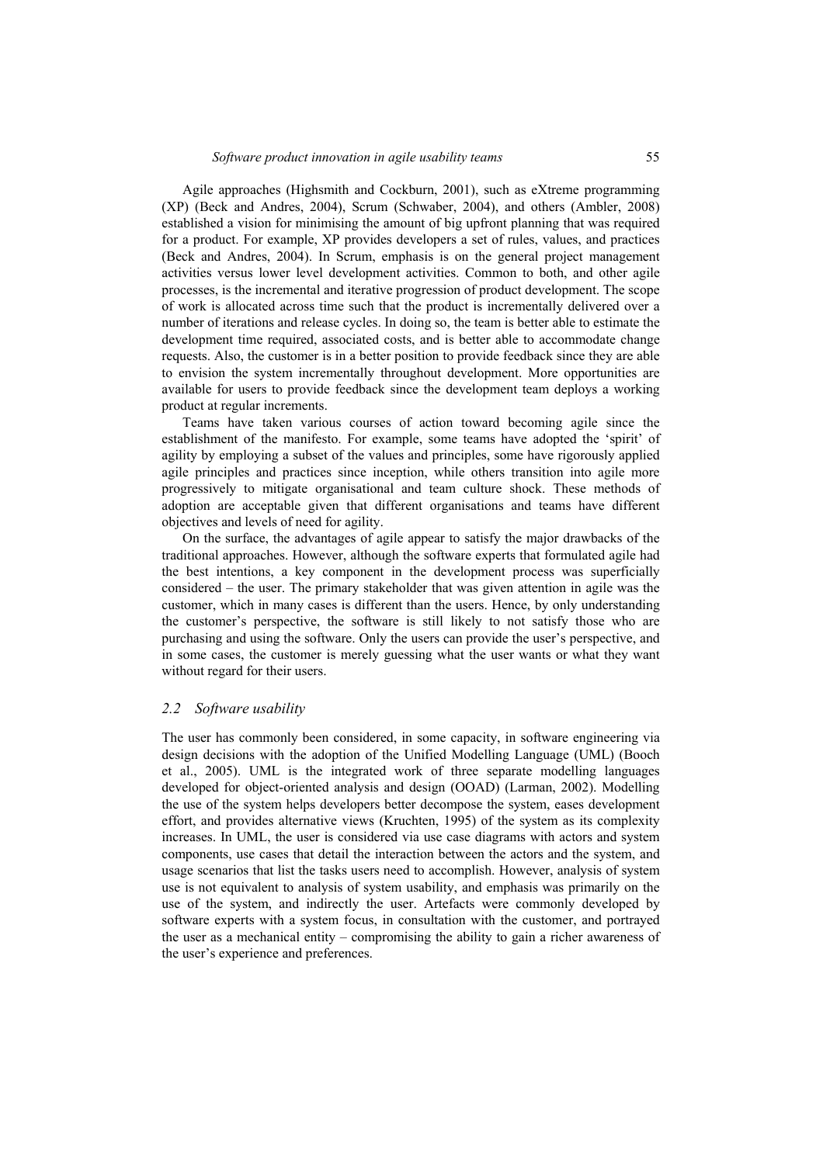Agile approaches (Highsmith and Cockburn, 2001), such as eXtreme programming (XP) (Beck and Andres, 2004), Scrum (Schwaber, 2004), and others (Ambler, 2008) established a vision for minimising the amount of big upfront planning that was required for a product. For example, XP provides developers a set of rules, values, and practices (Beck and Andres, 2004). In Scrum, emphasis is on the general project management activities versus lower level development activities. Common to both, and other agile processes, is the incremental and iterative progression of product development. The scope of work is allocated across time such that the product is incrementally delivered over a number of iterations and release cycles. In doing so, the team is better able to estimate the development time required, associated costs, and is better able to accommodate change requests. Also, the customer is in a better position to provide feedback since they are able to envision the system incrementally throughout development. More opportunities are available for users to provide feedback since the development team deploys a working product at regular increments.

Teams have taken various courses of action toward becoming agile since the establishment of the manifesto. For example, some teams have adopted the 'spirit' of agility by employing a subset of the values and principles, some have rigorously applied agile principles and practices since inception, while others transition into agile more progressively to mitigate organisational and team culture shock. These methods of adoption are acceptable given that different organisations and teams have different objectives and levels of need for agility.

On the surface, the advantages of agile appear to satisfy the major drawbacks of the traditional approaches. However, although the software experts that formulated agile had the best intentions, a key component in the development process was superficially considered – the user. The primary stakeholder that was given attention in agile was the customer, which in many cases is different than the users. Hence, by only understanding the customer's perspective, the software is still likely to not satisfy those who are purchasing and using the software. Only the users can provide the user's perspective, and in some cases, the customer is merely guessing what the user wants or what they want without regard for their users.

# *2.2 Software usability*

The user has commonly been considered, in some capacity, in software engineering via design decisions with the adoption of the Unified Modelling Language (UML) (Booch et al., 2005). UML is the integrated work of three separate modelling languages developed for object-oriented analysis and design (OOAD) (Larman, 2002). Modelling the use of the system helps developers better decompose the system, eases development effort, and provides alternative views (Kruchten, 1995) of the system as its complexity increases. In UML, the user is considered via use case diagrams with actors and system components, use cases that detail the interaction between the actors and the system, and usage scenarios that list the tasks users need to accomplish. However, analysis of system use is not equivalent to analysis of system usability, and emphasis was primarily on the use of the system, and indirectly the user. Artefacts were commonly developed by software experts with a system focus, in consultation with the customer, and portrayed the user as a mechanical entity – compromising the ability to gain a richer awareness of the user's experience and preferences.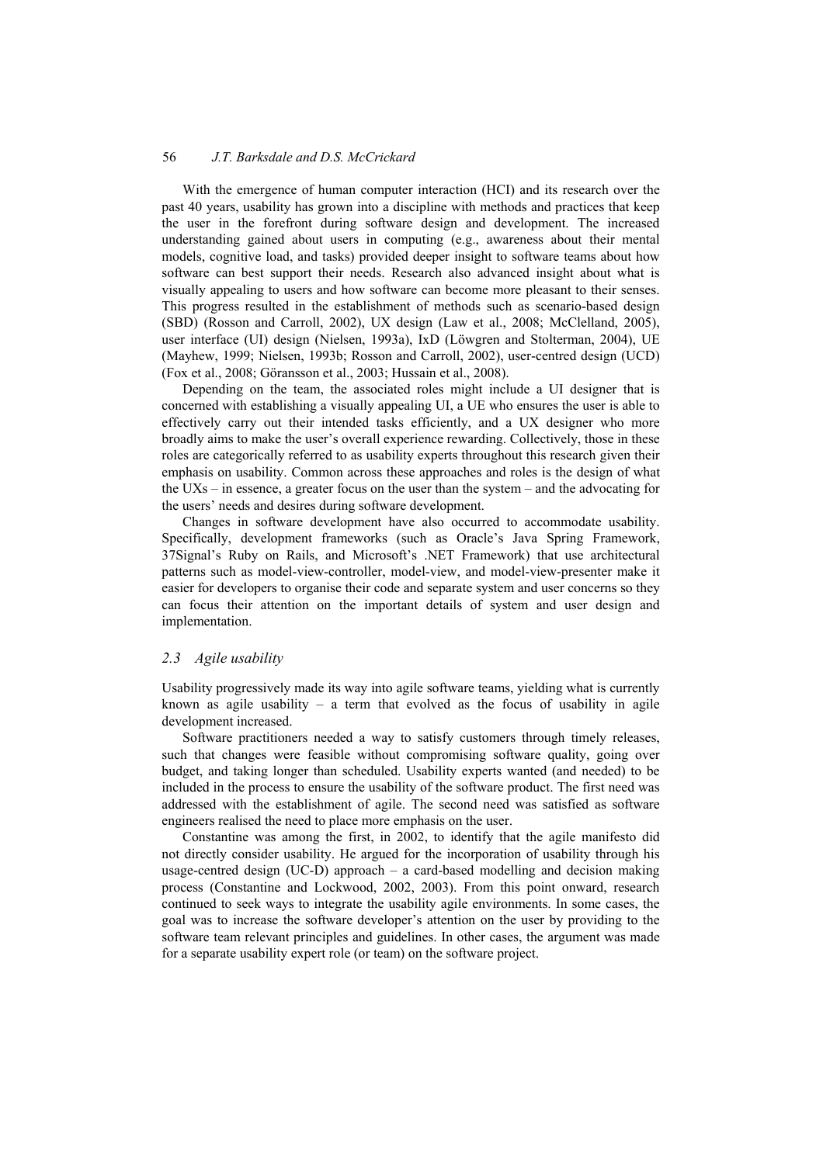With the emergence of human computer interaction (HCI) and its research over the past 40 years, usability has grown into a discipline with methods and practices that keep the user in the forefront during software design and development. The increased understanding gained about users in computing (e.g., awareness about their mental models, cognitive load, and tasks) provided deeper insight to software teams about how software can best support their needs. Research also advanced insight about what is visually appealing to users and how software can become more pleasant to their senses. This progress resulted in the establishment of methods such as scenario-based design (SBD) (Rosson and Carroll, 2002), UX design (Law et al., 2008; McClelland, 2005), user interface (UI) design (Nielsen, 1993a), IxD (Löwgren and Stolterman, 2004), UE (Mayhew, 1999; Nielsen, 1993b; Rosson and Carroll, 2002), user-centred design (UCD) (Fox et al., 2008; Göransson et al., 2003; Hussain et al., 2008).

Depending on the team, the associated roles might include a UI designer that is concerned with establishing a visually appealing UI, a UE who ensures the user is able to effectively carry out their intended tasks efficiently, and a UX designer who more broadly aims to make the user's overall experience rewarding. Collectively, those in these roles are categorically referred to as usability experts throughout this research given their emphasis on usability. Common across these approaches and roles is the design of what the UXs – in essence, a greater focus on the user than the system – and the advocating for the users' needs and desires during software development.

Changes in software development have also occurred to accommodate usability. Specifically, development frameworks (such as Oracle's Java Spring Framework, 37Signal's Ruby on Rails, and Microsoft's .NET Framework) that use architectural patterns such as model-view-controller, model-view, and model-view-presenter make it easier for developers to organise their code and separate system and user concerns so they can focus their attention on the important details of system and user design and implementation.

## *2.3 Agile usability*

Usability progressively made its way into agile software teams, yielding what is currently known as agile usability  $-$  a term that evolved as the focus of usability in agile development increased.

Software practitioners needed a way to satisfy customers through timely releases, such that changes were feasible without compromising software quality, going over budget, and taking longer than scheduled. Usability experts wanted (and needed) to be included in the process to ensure the usability of the software product. The first need was addressed with the establishment of agile. The second need was satisfied as software engineers realised the need to place more emphasis on the user.

Constantine was among the first, in 2002, to identify that the agile manifesto did not directly consider usability. He argued for the incorporation of usability through his usage-centred design (UC-D) approach – a card-based modelling and decision making process (Constantine and Lockwood, 2002, 2003). From this point onward, research continued to seek ways to integrate the usability agile environments. In some cases, the goal was to increase the software developer's attention on the user by providing to the software team relevant principles and guidelines. In other cases, the argument was made for a separate usability expert role (or team) on the software project.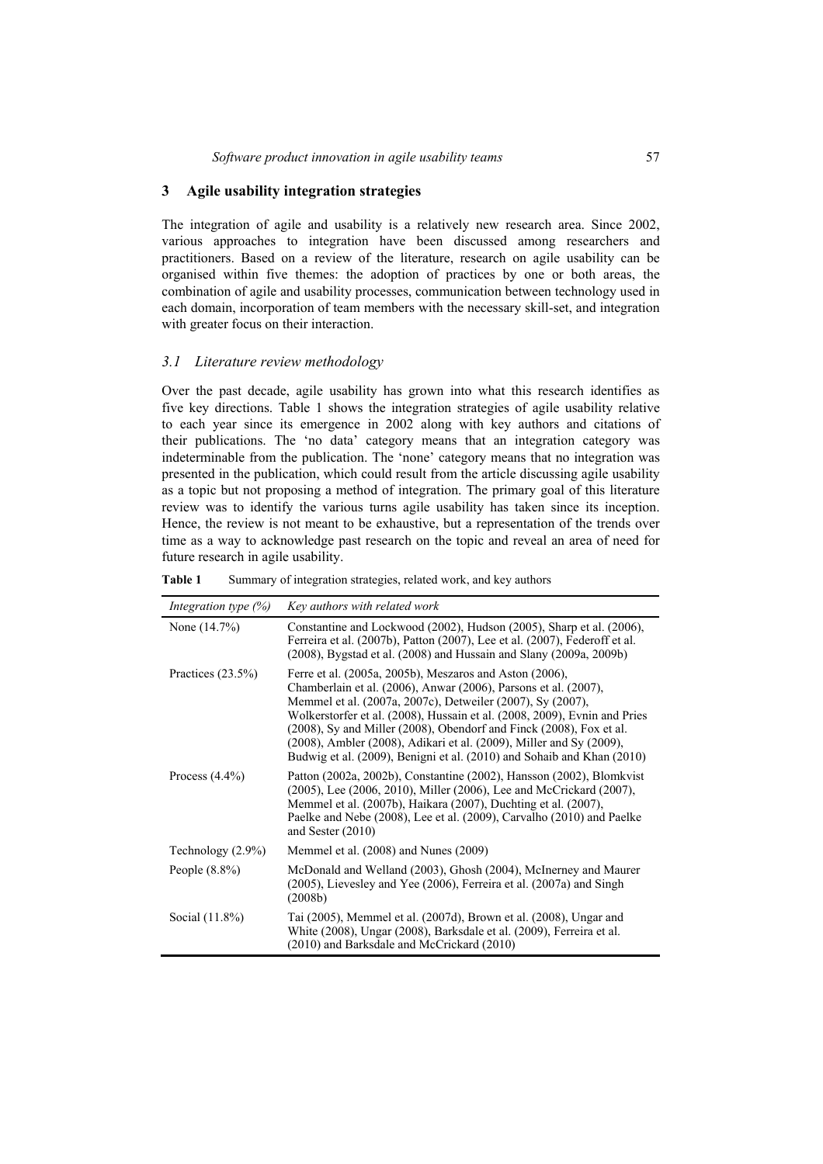# **3 Agile usability integration strategies**

The integration of agile and usability is a relatively new research area. Since 2002, various approaches to integration have been discussed among researchers and practitioners. Based on a review of the literature, research on agile usability can be organised within five themes: the adoption of practices by one or both areas, the combination of agile and usability processes, communication between technology used in each domain, incorporation of team members with the necessary skill-set, and integration with greater focus on their interaction.

## *3.1 Literature review methodology*

Over the past decade, agile usability has grown into what this research identifies as five key directions. Table 1 shows the integration strategies of agile usability relative to each year since its emergence in 2002 along with key authors and citations of their publications. The 'no data' category means that an integration category was indeterminable from the publication. The 'none' category means that no integration was presented in the publication, which could result from the article discussing agile usability as a topic but not proposing a method of integration. The primary goal of this literature review was to identify the various turns agile usability has taken since its inception. Hence, the review is not meant to be exhaustive, but a representation of the trends over time as a way to acknowledge past research on the topic and reveal an area of need for future research in agile usability.

| Integration type $(\%)$ | Key authors with related work                                                                                                                                                                                                                                                                                                                                                                                                                                                                          |  |
|-------------------------|--------------------------------------------------------------------------------------------------------------------------------------------------------------------------------------------------------------------------------------------------------------------------------------------------------------------------------------------------------------------------------------------------------------------------------------------------------------------------------------------------------|--|
| None $(14.7%)$          | Constantine and Lockwood (2002), Hudson (2005), Sharp et al. (2006),<br>Ferreira et al. (2007b), Patton (2007), Lee et al. (2007), Federoff et al.<br>(2008), Bygstad et al. (2008) and Hussain and Slany (2009a, 2009b)                                                                                                                                                                                                                                                                               |  |
| Practices $(23.5\%)$    | Ferre et al. (2005a, 2005b), Meszaros and Aston (2006),<br>Chamberlain et al. (2006), Anwar (2006), Parsons et al. (2007),<br>Memmel et al. (2007a, 2007c), Detweiler (2007), Sy (2007),<br>Wolkerstorfer et al. (2008), Hussain et al. (2008, 2009), Evnin and Pries<br>$(2008)$ , Sy and Miller $(2008)$ , Obendorf and Finck $(2008)$ , Fox et al.<br>(2008), Ambler (2008), Adikari et al. (2009), Miller and Sy (2009),<br>Budwig et al. (2009), Benigni et al. (2010) and Sohaib and Khan (2010) |  |
| Process $(4.4\%)$       | Patton (2002a, 2002b), Constantine (2002), Hansson (2002), Blomkvist<br>(2005), Lee (2006, 2010), Miller (2006), Lee and McCrickard (2007),<br>Memmel et al. (2007b), Haikara (2007), Duchting et al. (2007),<br>Paelke and Nebe (2008), Lee et al. (2009), Carvalho (2010) and Paelke<br>and Sester $(2010)$                                                                                                                                                                                          |  |
| Technology $(2.9\%)$    | Memmel et al. (2008) and Nunes (2009)                                                                                                                                                                                                                                                                                                                                                                                                                                                                  |  |
| People $(8.8\%)$        | McDonald and Welland (2003), Ghosh (2004), McInerney and Maurer<br>$(2005)$ , Lievesley and Yee $(2006)$ , Ferreira et al. $(2007a)$ and Singh<br>(2008b)                                                                                                                                                                                                                                                                                                                                              |  |
| Social (11.8%)          | Tai (2005), Memmel et al. (2007d), Brown et al. (2008), Ungar and<br>White (2008), Ungar (2008), Barksdale et al. (2009), Ferreira et al.<br>(2010) and Barksdale and McCrickard (2010)                                                                                                                                                                                                                                                                                                                |  |

Table 1 Summary of integration strategies, related work, and key authors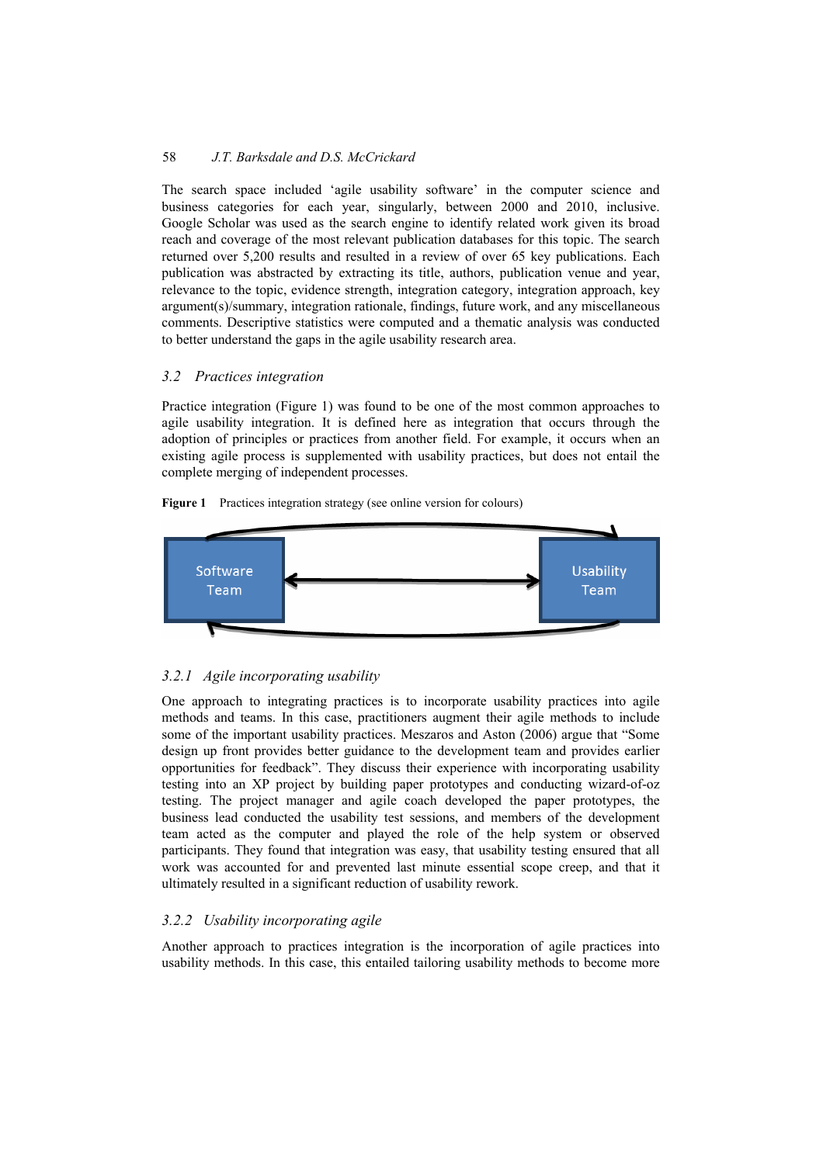The search space included 'agile usability software' in the computer science and business categories for each year, singularly, between 2000 and 2010, inclusive. Google Scholar was used as the search engine to identify related work given its broad reach and coverage of the most relevant publication databases for this topic. The search returned over 5,200 results and resulted in a review of over 65 key publications. Each publication was abstracted by extracting its title, authors, publication venue and year, relevance to the topic, evidence strength, integration category, integration approach, key argument(s)/summary, integration rationale, findings, future work, and any miscellaneous comments. Descriptive statistics were computed and a thematic analysis was conducted to better understand the gaps in the agile usability research area.

## *3.2 Practices integration*

Practice integration (Figure 1) was found to be one of the most common approaches to agile usability integration. It is defined here as integration that occurs through the adoption of principles or practices from another field. For example, it occurs when an existing agile process is supplemented with usability practices, but does not entail the complete merging of independent processes.

#### Figure 1 Practices integration strategy (see online version for colours)



## *3.2.1 Agile incorporating usability*

One approach to integrating practices is to incorporate usability practices into agile methods and teams. In this case, practitioners augment their agile methods to include some of the important usability practices. Meszaros and Aston (2006) argue that "Some design up front provides better guidance to the development team and provides earlier opportunities for feedback". They discuss their experience with incorporating usability testing into an XP project by building paper prototypes and conducting wizard-of-oz testing. The project manager and agile coach developed the paper prototypes, the business lead conducted the usability test sessions, and members of the development team acted as the computer and played the role of the help system or observed participants. They found that integration was easy, that usability testing ensured that all work was accounted for and prevented last minute essential scope creep, and that it ultimately resulted in a significant reduction of usability rework.

# *3.2.2 Usability incorporating agile*

Another approach to practices integration is the incorporation of agile practices into usability methods. In this case, this entailed tailoring usability methods to become more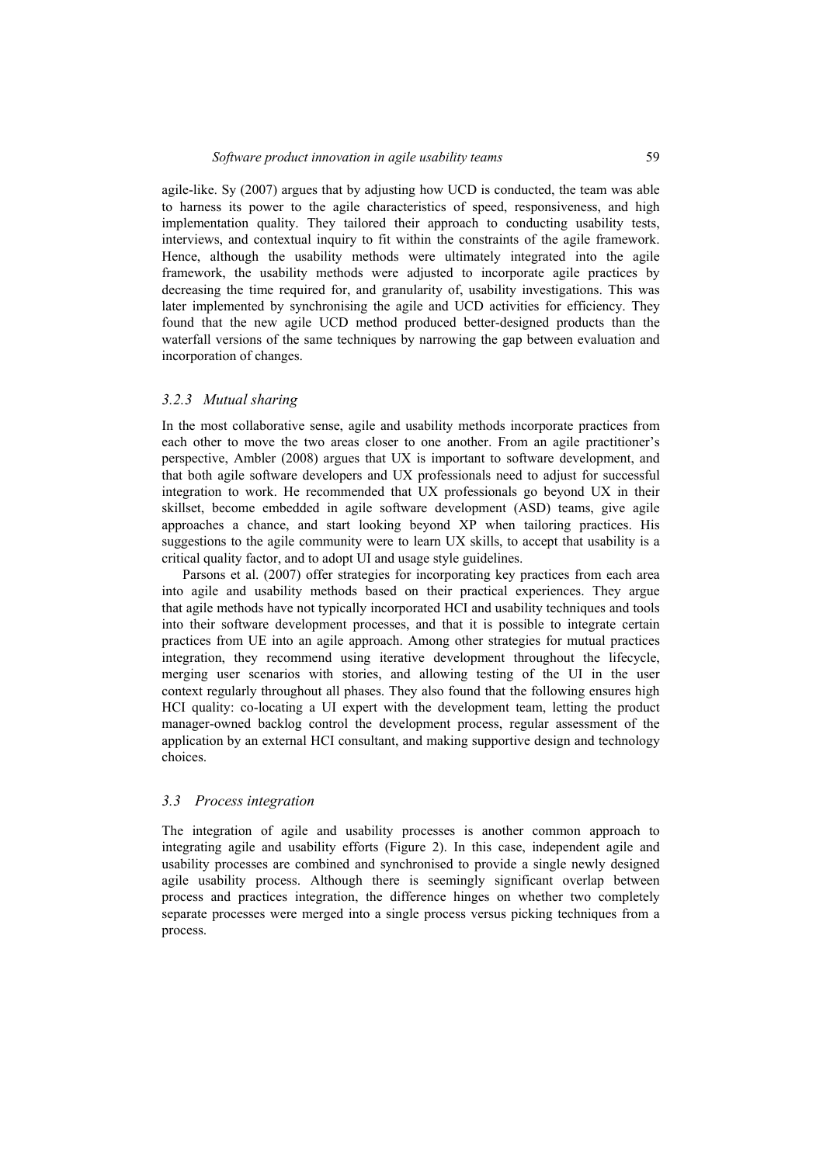agile-like. Sy (2007) argues that by adjusting how UCD is conducted, the team was able to harness its power to the agile characteristics of speed, responsiveness, and high implementation quality. They tailored their approach to conducting usability tests, interviews, and contextual inquiry to fit within the constraints of the agile framework. Hence, although the usability methods were ultimately integrated into the agile framework, the usability methods were adjusted to incorporate agile practices by decreasing the time required for, and granularity of, usability investigations. This was later implemented by synchronising the agile and UCD activities for efficiency. They found that the new agile UCD method produced better-designed products than the waterfall versions of the same techniques by narrowing the gap between evaluation and incorporation of changes.

## *3.2.3 Mutual sharing*

In the most collaborative sense, agile and usability methods incorporate practices from each other to move the two areas closer to one another. From an agile practitioner's perspective, Ambler (2008) argues that UX is important to software development, and that both agile software developers and UX professionals need to adjust for successful integration to work. He recommended that UX professionals go beyond UX in their skillset, become embedded in agile software development (ASD) teams, give agile approaches a chance, and start looking beyond XP when tailoring practices. His suggestions to the agile community were to learn UX skills, to accept that usability is a critical quality factor, and to adopt UI and usage style guidelines.

Parsons et al. (2007) offer strategies for incorporating key practices from each area into agile and usability methods based on their practical experiences. They argue that agile methods have not typically incorporated HCI and usability techniques and tools into their software development processes, and that it is possible to integrate certain practices from UE into an agile approach. Among other strategies for mutual practices integration, they recommend using iterative development throughout the lifecycle, merging user scenarios with stories, and allowing testing of the UI in the user context regularly throughout all phases. They also found that the following ensures high HCI quality: co-locating a UI expert with the development team, letting the product manager-owned backlog control the development process, regular assessment of the application by an external HCI consultant, and making supportive design and technology choices.

#### *3.3 Process integration*

The integration of agile and usability processes is another common approach to integrating agile and usability efforts (Figure 2). In this case, independent agile and usability processes are combined and synchronised to provide a single newly designed agile usability process. Although there is seemingly significant overlap between process and practices integration, the difference hinges on whether two completely separate processes were merged into a single process versus picking techniques from a process.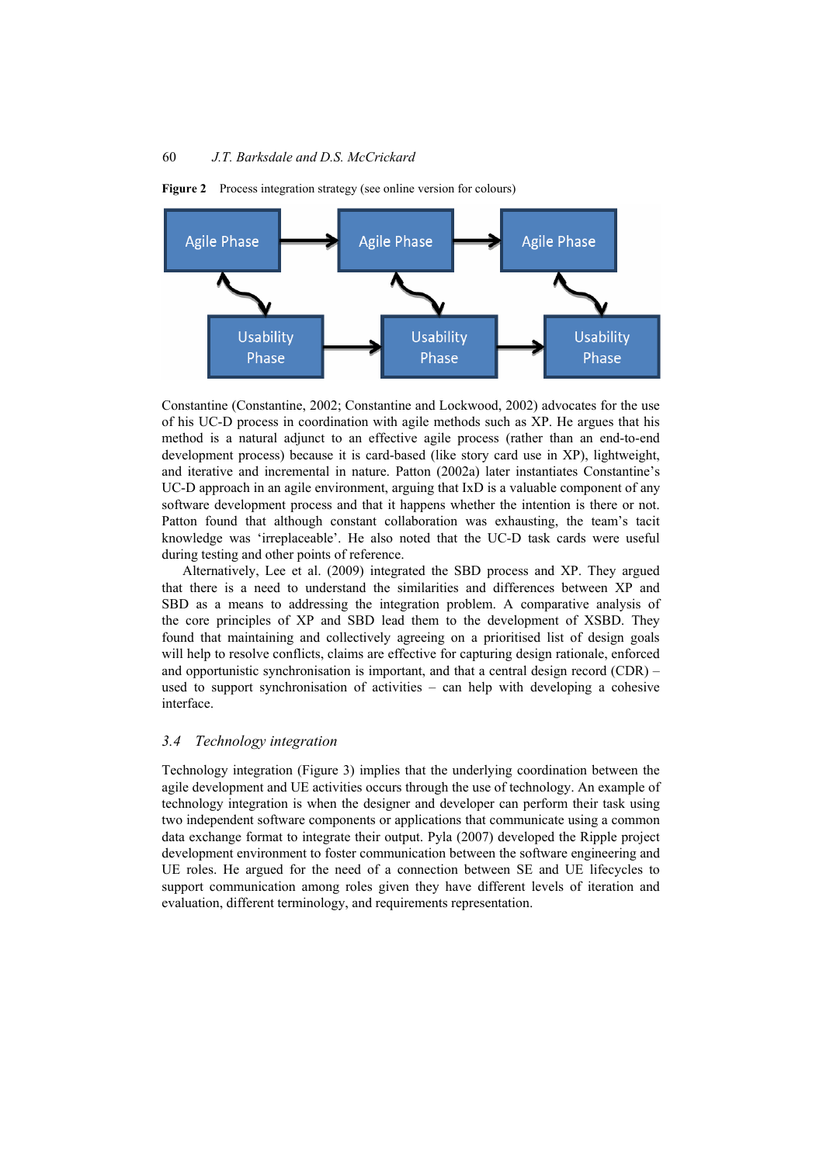

Figure 2 Process integration strategy (see online version for colours)

Constantine (Constantine, 2002; Constantine and Lockwood, 2002) advocates for the use of his UC-D process in coordination with agile methods such as XP. He argues that his method is a natural adjunct to an effective agile process (rather than an end-to-end development process) because it is card-based (like story card use in XP), lightweight, and iterative and incremental in nature. Patton (2002a) later instantiates Constantine's UC-D approach in an agile environment, arguing that IxD is a valuable component of any software development process and that it happens whether the intention is there or not. Patton found that although constant collaboration was exhausting, the team's tacit knowledge was 'irreplaceable'. He also noted that the UC-D task cards were useful during testing and other points of reference.

Alternatively, Lee et al. (2009) integrated the SBD process and XP. They argued that there is a need to understand the similarities and differences between XP and SBD as a means to addressing the integration problem. A comparative analysis of the core principles of XP and SBD lead them to the development of XSBD. They found that maintaining and collectively agreeing on a prioritised list of design goals will help to resolve conflicts, claims are effective for capturing design rationale, enforced and opportunistic synchronisation is important, and that a central design record (CDR) – used to support synchronisation of activities – can help with developing a cohesive interface.

## *3.4 Technology integration*

Technology integration (Figure 3) implies that the underlying coordination between the agile development and UE activities occurs through the use of technology. An example of technology integration is when the designer and developer can perform their task using two independent software components or applications that communicate using a common data exchange format to integrate their output. Pyla (2007) developed the Ripple project development environment to foster communication between the software engineering and UE roles. He argued for the need of a connection between SE and UE lifecycles to support communication among roles given they have different levels of iteration and evaluation, different terminology, and requirements representation.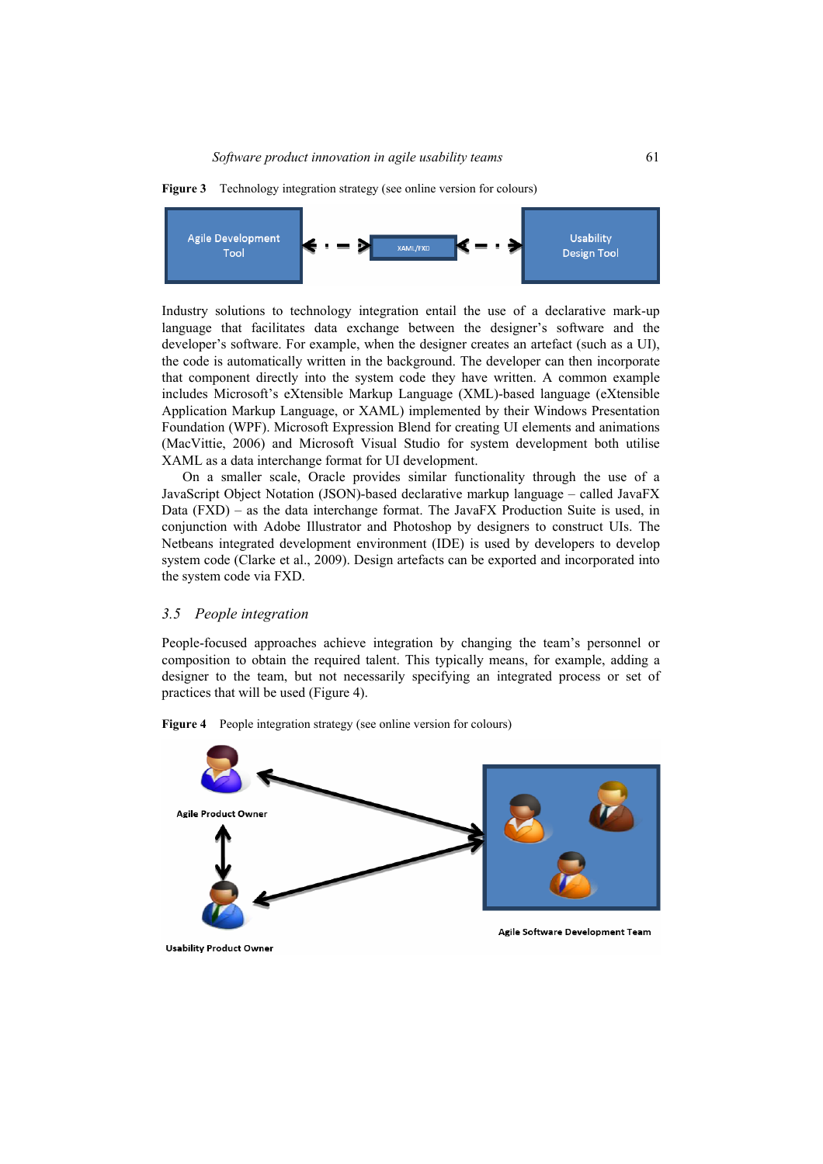**Figure 3** Technology integration strategy (see online version for colours)



Industry solutions to technology integration entail the use of a declarative mark-up language that facilitates data exchange between the designer's software and the developer's software. For example, when the designer creates an artefact (such as a UI), the code is automatically written in the background. The developer can then incorporate that component directly into the system code they have written. A common example includes Microsoft's eXtensible Markup Language (XML)-based language (eXtensible Application Markup Language, or XAML) implemented by their Windows Presentation Foundation (WPF). Microsoft Expression Blend for creating UI elements and animations (MacVittie, 2006) and Microsoft Visual Studio for system development both utilise XAML as a data interchange format for UI development.

On a smaller scale, Oracle provides similar functionality through the use of a JavaScript Object Notation (JSON)-based declarative markup language – called JavaFX Data (FXD) – as the data interchange format. The JavaFX Production Suite is used, in conjunction with Adobe Illustrator and Photoshop by designers to construct UIs. The Netbeans integrated development environment (IDE) is used by developers to develop system code (Clarke et al., 2009). Design artefacts can be exported and incorporated into the system code via FXD.

## *3.5 People integration*

People-focused approaches achieve integration by changing the team's personnel or composition to obtain the required talent. This typically means, for example, adding a designer to the team, but not necessarily specifying an integrated process or set of practices that will be used (Figure 4).



Figure 4 People integration strategy (see online version for colours)

**Usability Product Owner**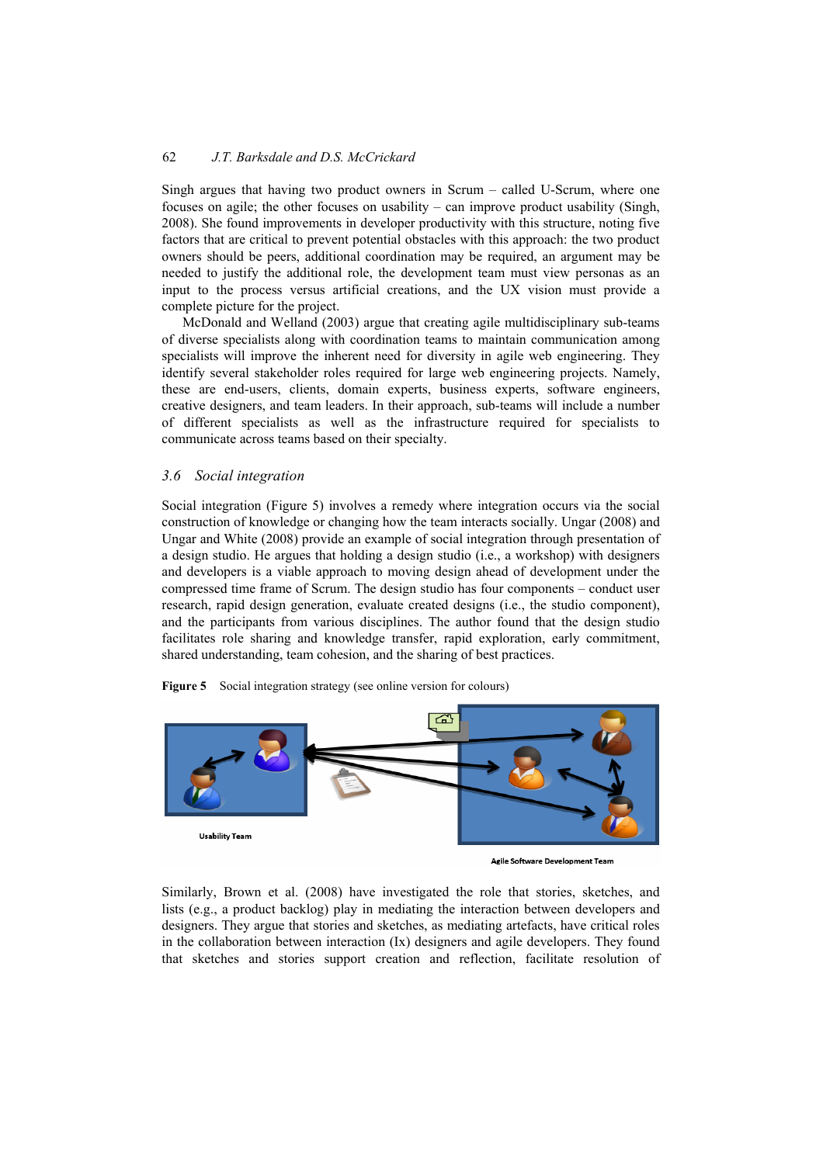Singh argues that having two product owners in Scrum – called U-Scrum, where one focuses on agile; the other focuses on usability – can improve product usability (Singh, 2008). She found improvements in developer productivity with this structure, noting five factors that are critical to prevent potential obstacles with this approach: the two product owners should be peers, additional coordination may be required, an argument may be needed to justify the additional role, the development team must view personas as an input to the process versus artificial creations, and the UX vision must provide a complete picture for the project.

McDonald and Welland (2003) argue that creating agile multidisciplinary sub-teams of diverse specialists along with coordination teams to maintain communication among specialists will improve the inherent need for diversity in agile web engineering. They identify several stakeholder roles required for large web engineering projects. Namely, these are end-users, clients, domain experts, business experts, software engineers, creative designers, and team leaders. In their approach, sub-teams will include a number of different specialists as well as the infrastructure required for specialists to communicate across teams based on their specialty.

#### *3.6 Social integration*

Social integration (Figure 5) involves a remedy where integration occurs via the social construction of knowledge or changing how the team interacts socially. Ungar (2008) and Ungar and White (2008) provide an example of social integration through presentation of a design studio. He argues that holding a design studio (i.e., a workshop) with designers and developers is a viable approach to moving design ahead of development under the compressed time frame of Scrum. The design studio has four components – conduct user research, rapid design generation, evaluate created designs (i.e., the studio component), and the participants from various disciplines. The author found that the design studio facilitates role sharing and knowledge transfer, rapid exploration, early commitment, shared understanding, team cohesion, and the sharing of best practices.

**Figure 5** Social integration strategy (see online version for colours)



Agile Software Development Team

Similarly, Brown et al. (2008) have investigated the role that stories, sketches, and lists (e.g., a product backlog) play in mediating the interaction between developers and designers. They argue that stories and sketches, as mediating artefacts, have critical roles in the collaboration between interaction (Ix) designers and agile developers. They found that sketches and stories support creation and reflection, facilitate resolution of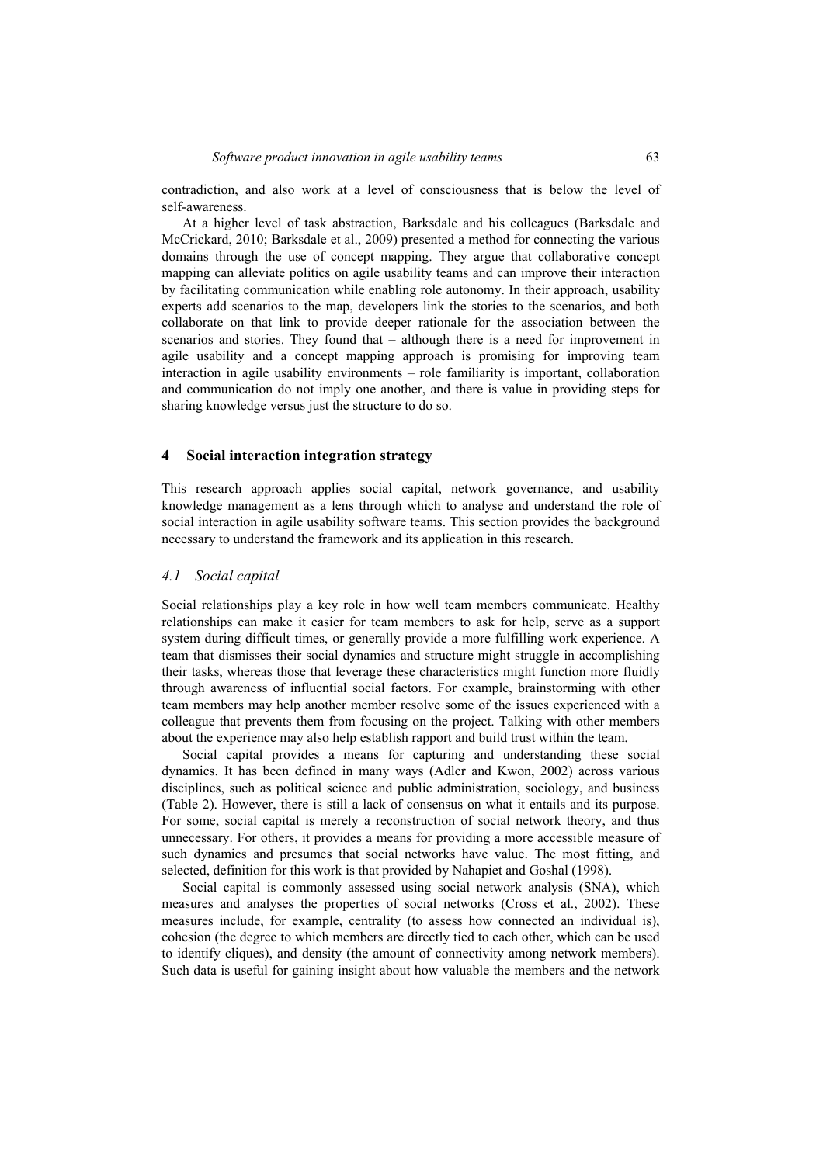contradiction, and also work at a level of consciousness that is below the level of self-awareness.

At a higher level of task abstraction, Barksdale and his colleagues (Barksdale and McCrickard, 2010; Barksdale et al., 2009) presented a method for connecting the various domains through the use of concept mapping. They argue that collaborative concept mapping can alleviate politics on agile usability teams and can improve their interaction by facilitating communication while enabling role autonomy. In their approach, usability experts add scenarios to the map, developers link the stories to the scenarios, and both collaborate on that link to provide deeper rationale for the association between the scenarios and stories. They found that – although there is a need for improvement in agile usability and a concept mapping approach is promising for improving team interaction in agile usability environments – role familiarity is important, collaboration and communication do not imply one another, and there is value in providing steps for sharing knowledge versus just the structure to do so.

## **4 Social interaction integration strategy**

This research approach applies social capital, network governance, and usability knowledge management as a lens through which to analyse and understand the role of social interaction in agile usability software teams. This section provides the background necessary to understand the framework and its application in this research.

## *4.1 Social capital*

Social relationships play a key role in how well team members communicate. Healthy relationships can make it easier for team members to ask for help, serve as a support system during difficult times, or generally provide a more fulfilling work experience. A team that dismisses their social dynamics and structure might struggle in accomplishing their tasks, whereas those that leverage these characteristics might function more fluidly through awareness of influential social factors. For example, brainstorming with other team members may help another member resolve some of the issues experienced with a colleague that prevents them from focusing on the project. Talking with other members about the experience may also help establish rapport and build trust within the team.

Social capital provides a means for capturing and understanding these social dynamics. It has been defined in many ways (Adler and Kwon, 2002) across various disciplines, such as political science and public administration, sociology, and business (Table 2). However, there is still a lack of consensus on what it entails and its purpose. For some, social capital is merely a reconstruction of social network theory, and thus unnecessary. For others, it provides a means for providing a more accessible measure of such dynamics and presumes that social networks have value. The most fitting, and selected, definition for this work is that provided by Nahapiet and Goshal (1998).

Social capital is commonly assessed using social network analysis (SNA), which measures and analyses the properties of social networks (Cross et al., 2002). These measures include, for example, centrality (to assess how connected an individual is), cohesion (the degree to which members are directly tied to each other, which can be used to identify cliques), and density (the amount of connectivity among network members). Such data is useful for gaining insight about how valuable the members and the network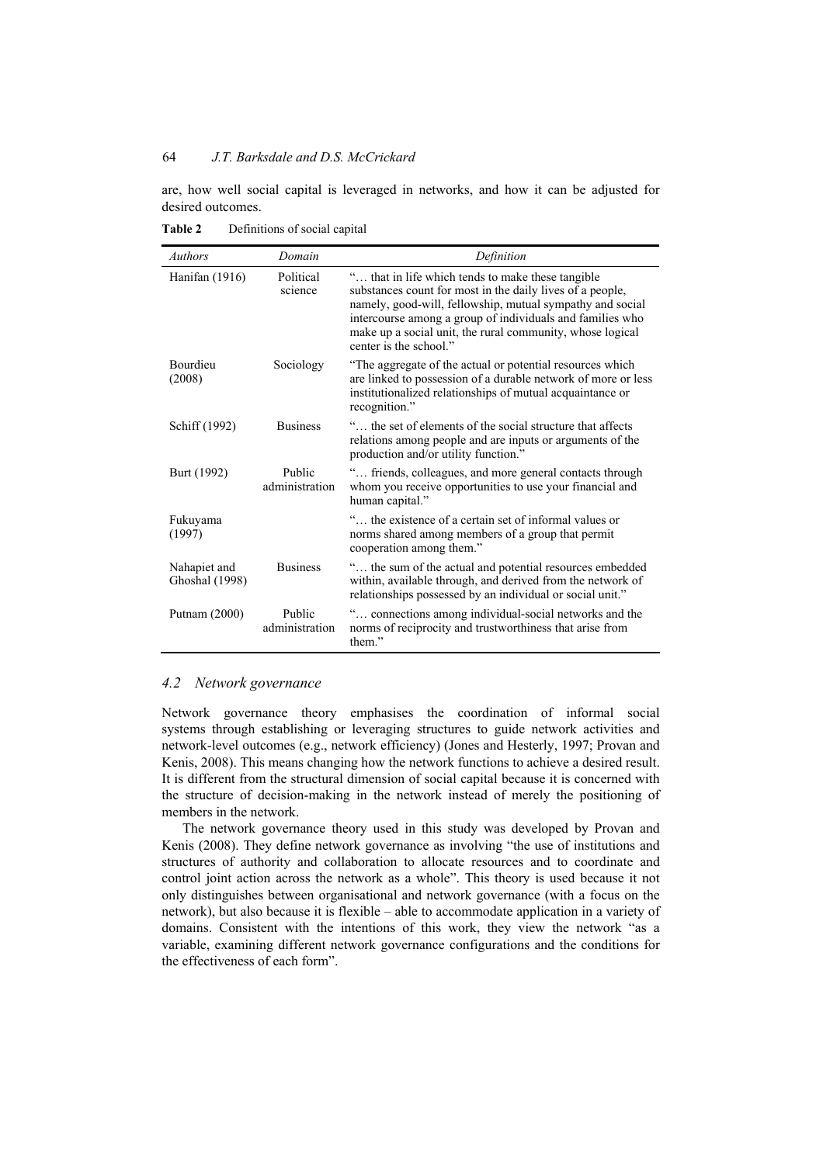are, how well social capital is leveraged in networks, and how it can be adjusted for desired outcomes.

**Table 2** Definitions of social capital

| <i>Authors</i>                 | Domain                   | Definition                                                                                                                                                                                                                                                                                                                      |
|--------------------------------|--------------------------|---------------------------------------------------------------------------------------------------------------------------------------------------------------------------------------------------------------------------------------------------------------------------------------------------------------------------------|
| Hanifan (1916)                 | Political<br>science     | " that in life which tends to make these tangible<br>substances count for most in the daily lives of a people,<br>namely, good-will, fellowship, mutual sympathy and social<br>intercourse among a group of individuals and families who<br>make up a social unit, the rural community, whose logical<br>center is the school." |
| Bourdieu<br>(2008)             | Sociology                | "The aggregate of the actual or potential resources which<br>are linked to possession of a durable network of more or less<br>institutionalized relationships of mutual acquaintance or<br>recognition."                                                                                                                        |
| Schiff (1992)                  | <b>Business</b>          | " the set of elements of the social structure that affects<br>relations among people and are inputs or arguments of the<br>production and/or utility function."                                                                                                                                                                 |
| Burt (1992)                    | Public<br>administration | " friends, colleagues, and more general contacts through<br>whom you receive opportunities to use your financial and<br>human capital."                                                                                                                                                                                         |
| Fukuyama<br>(1997)             |                          | " the existence of a certain set of informal values or<br>norms shared among members of a group that permit<br>cooperation among them."                                                                                                                                                                                         |
| Nahapiet and<br>Ghoshal (1998) | <b>Business</b>          | " the sum of the actual and potential resources embedded<br>within, available through, and derived from the network of<br>relationships possessed by an individual or social unit."                                                                                                                                             |
| Putnam $(2000)$                | Public<br>administration | " connections among individual-social networks and the<br>norms of reciprocity and trustworthiness that arise from<br>them."                                                                                                                                                                                                    |

## *4.2 Network governance*

Network governance theory emphasises the coordination of informal social systems through establishing or leveraging structures to guide network activities and network-level outcomes (e.g., network efficiency) (Jones and Hesterly, 1997; Provan and Kenis, 2008). This means changing how the network functions to achieve a desired result. It is different from the structural dimension of social capital because it is concerned with the structure of decision-making in the network instead of merely the positioning of members in the network.

The network governance theory used in this study was developed by Provan and Kenis (2008). They define network governance as involving "the use of institutions and structures of authority and collaboration to allocate resources and to coordinate and control joint action across the network as a whole". This theory is used because it not only distinguishes between organisational and network governance (with a focus on the network), but also because it is flexible – able to accommodate application in a variety of domains. Consistent with the intentions of this work, they view the network "as a variable, examining different network governance configurations and the conditions for the effectiveness of each form".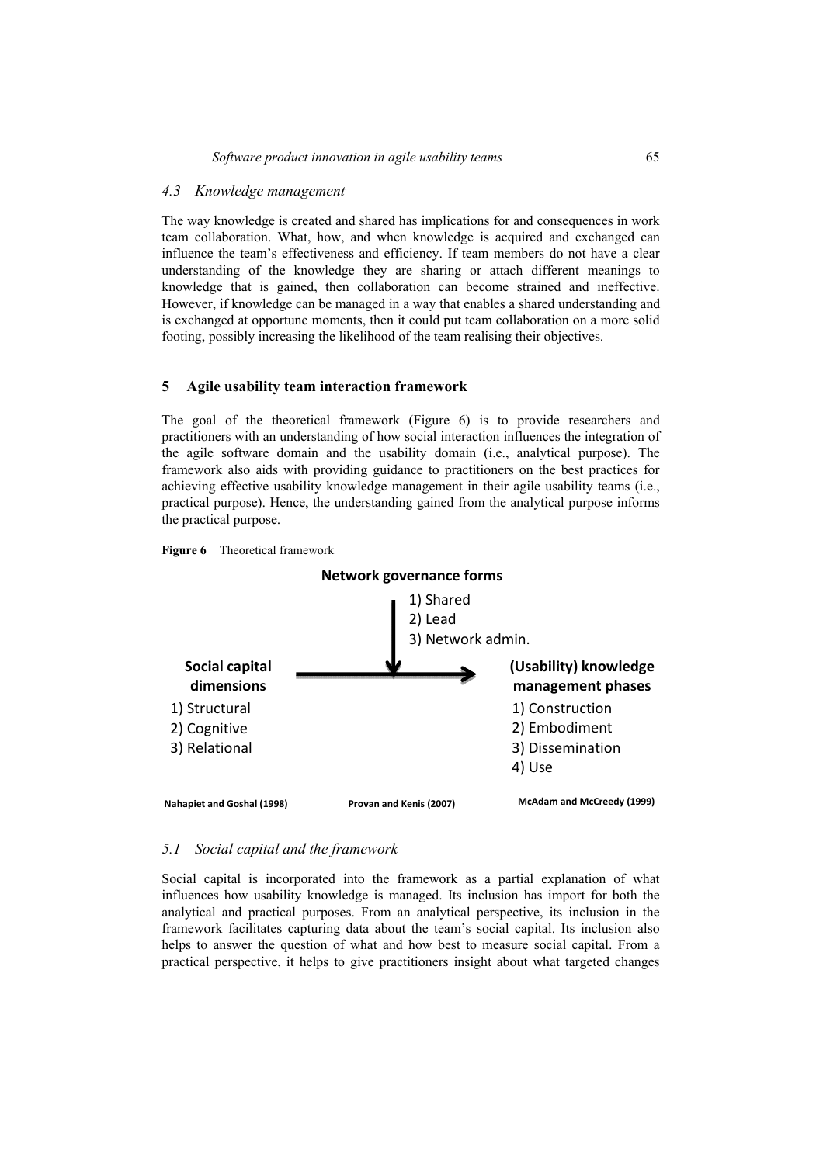## *4.3 Knowledge management*

The way knowledge is created and shared has implications for and consequences in work team collaboration. What, how, and when knowledge is acquired and exchanged can influence the team's effectiveness and efficiency. If team members do not have a clear understanding of the knowledge they are sharing or attach different meanings to knowledge that is gained, then collaboration can become strained and ineffective. However, if knowledge can be managed in a way that enables a shared understanding and is exchanged at opportune moments, then it could put team collaboration on a more solid footing, possibly increasing the likelihood of the team realising their objectives.

#### **5 Agile usability team interaction framework**

The goal of the theoretical framework (Figure 6) is to provide researchers and practitioners with an understanding of how social interaction influences the integration of the agile software domain and the usability domain (i.e., analytical purpose). The framework also aids with providing guidance to practitioners on the best practices for achieving effective usability knowledge management in their agile usability teams (i.e., practical purpose). Hence, the understanding gained from the analytical purpose informs the practical purpose.





#### *5.1 Social capital and the framework*

Social capital is incorporated into the framework as a partial explanation of what influences how usability knowledge is managed. Its inclusion has import for both the analytical and practical purposes. From an analytical perspective, its inclusion in the framework facilitates capturing data about the team's social capital. Its inclusion also helps to answer the question of what and how best to measure social capital. From a practical perspective, it helps to give practitioners insight about what targeted changes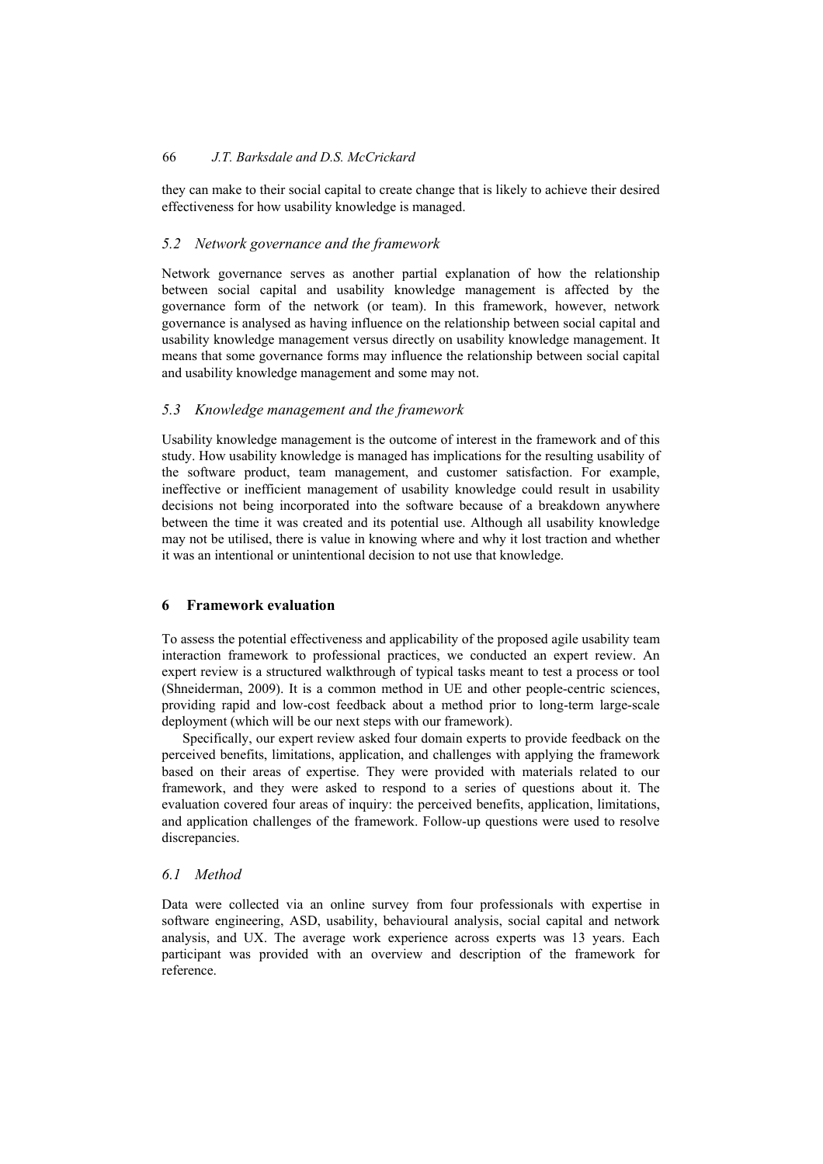they can make to their social capital to create change that is likely to achieve their desired effectiveness for how usability knowledge is managed.

## *5.2 Network governance and the framework*

Network governance serves as another partial explanation of how the relationship between social capital and usability knowledge management is affected by the governance form of the network (or team). In this framework, however, network governance is analysed as having influence on the relationship between social capital and usability knowledge management versus directly on usability knowledge management. It means that some governance forms may influence the relationship between social capital and usability knowledge management and some may not.

## *5.3 Knowledge management and the framework*

Usability knowledge management is the outcome of interest in the framework and of this study. How usability knowledge is managed has implications for the resulting usability of the software product, team management, and customer satisfaction. For example, ineffective or inefficient management of usability knowledge could result in usability decisions not being incorporated into the software because of a breakdown anywhere between the time it was created and its potential use. Although all usability knowledge may not be utilised, there is value in knowing where and why it lost traction and whether it was an intentional or unintentional decision to not use that knowledge.

#### **6 Framework evaluation**

To assess the potential effectiveness and applicability of the proposed agile usability team interaction framework to professional practices, we conducted an expert review. An expert review is a structured walkthrough of typical tasks meant to test a process or tool (Shneiderman, 2009). It is a common method in UE and other people-centric sciences, providing rapid and low-cost feedback about a method prior to long-term large-scale deployment (which will be our next steps with our framework).

Specifically, our expert review asked four domain experts to provide feedback on the perceived benefits, limitations, application, and challenges with applying the framework based on their areas of expertise. They were provided with materials related to our framework, and they were asked to respond to a series of questions about it. The evaluation covered four areas of inquiry: the perceived benefits, application, limitations, and application challenges of the framework. Follow-up questions were used to resolve discrepancies.

## *6.1 Method*

Data were collected via an online survey from four professionals with expertise in software engineering, ASD, usability, behavioural analysis, social capital and network analysis, and UX. The average work experience across experts was 13 years. Each participant was provided with an overview and description of the framework for reference.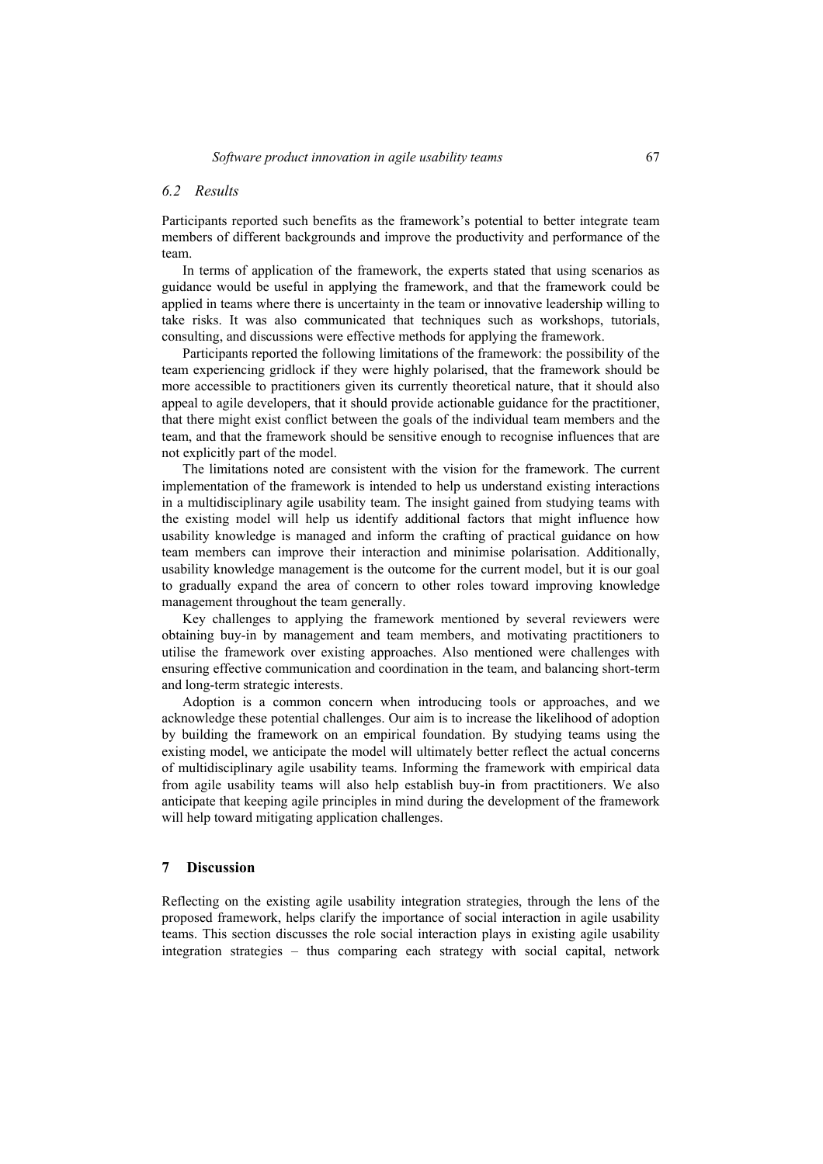## *6.2 Results*

Participants reported such benefits as the framework's potential to better integrate team members of different backgrounds and improve the productivity and performance of the team.

In terms of application of the framework, the experts stated that using scenarios as guidance would be useful in applying the framework, and that the framework could be applied in teams where there is uncertainty in the team or innovative leadership willing to take risks. It was also communicated that techniques such as workshops, tutorials, consulting, and discussions were effective methods for applying the framework.

Participants reported the following limitations of the framework: the possibility of the team experiencing gridlock if they were highly polarised, that the framework should be more accessible to practitioners given its currently theoretical nature, that it should also appeal to agile developers, that it should provide actionable guidance for the practitioner, that there might exist conflict between the goals of the individual team members and the team, and that the framework should be sensitive enough to recognise influences that are not explicitly part of the model.

The limitations noted are consistent with the vision for the framework. The current implementation of the framework is intended to help us understand existing interactions in a multidisciplinary agile usability team. The insight gained from studying teams with the existing model will help us identify additional factors that might influence how usability knowledge is managed and inform the crafting of practical guidance on how team members can improve their interaction and minimise polarisation. Additionally, usability knowledge management is the outcome for the current model, but it is our goal to gradually expand the area of concern to other roles toward improving knowledge management throughout the team generally.

Key challenges to applying the framework mentioned by several reviewers were obtaining buy-in by management and team members, and motivating practitioners to utilise the framework over existing approaches. Also mentioned were challenges with ensuring effective communication and coordination in the team, and balancing short-term and long-term strategic interests.

Adoption is a common concern when introducing tools or approaches, and we acknowledge these potential challenges. Our aim is to increase the likelihood of adoption by building the framework on an empirical foundation. By studying teams using the existing model, we anticipate the model will ultimately better reflect the actual concerns of multidisciplinary agile usability teams. Informing the framework with empirical data from agile usability teams will also help establish buy-in from practitioners. We also anticipate that keeping agile principles in mind during the development of the framework will help toward mitigating application challenges.

#### **7 Discussion**

Reflecting on the existing agile usability integration strategies, through the lens of the proposed framework, helps clarify the importance of social interaction in agile usability teams. This section discusses the role social interaction plays in existing agile usability integration strategies – thus comparing each strategy with social capital, network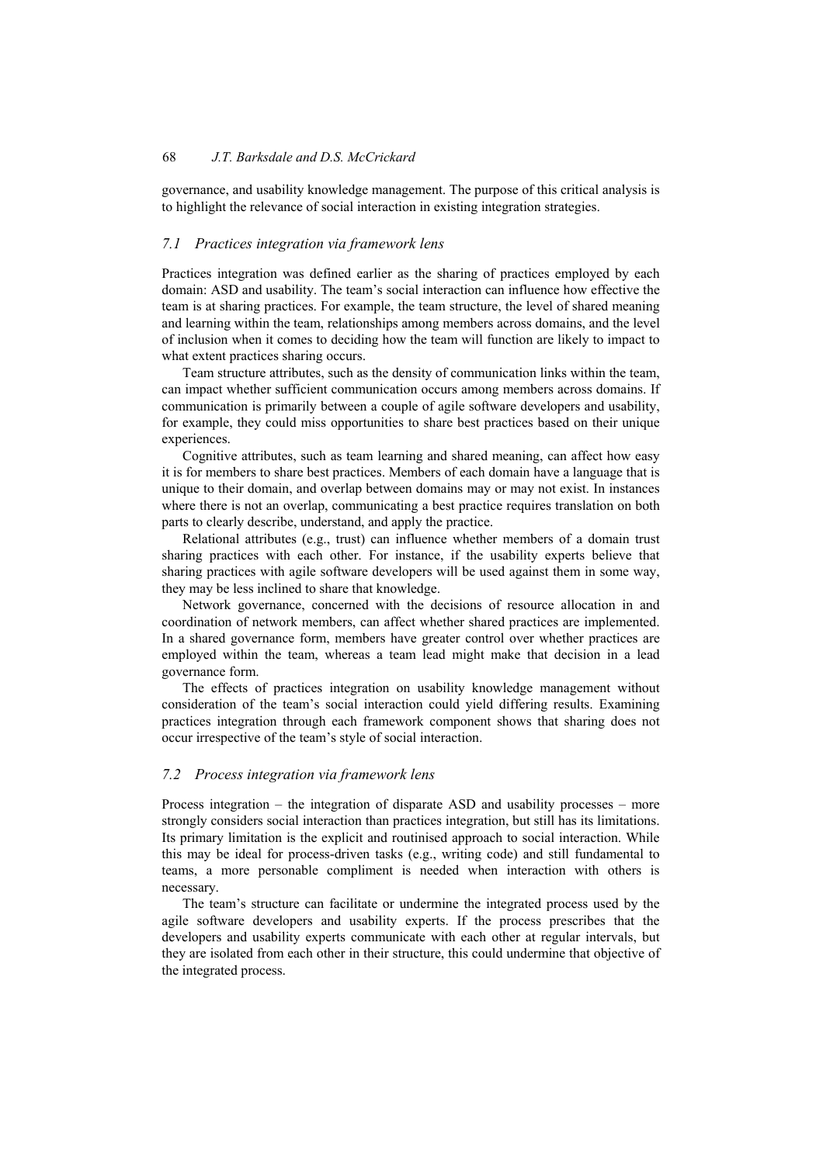governance, and usability knowledge management. The purpose of this critical analysis is to highlight the relevance of social interaction in existing integration strategies.

#### *7.1 Practices integration via framework lens*

Practices integration was defined earlier as the sharing of practices employed by each domain: ASD and usability. The team's social interaction can influence how effective the team is at sharing practices. For example, the team structure, the level of shared meaning and learning within the team, relationships among members across domains, and the level of inclusion when it comes to deciding how the team will function are likely to impact to what extent practices sharing occurs.

Team structure attributes, such as the density of communication links within the team, can impact whether sufficient communication occurs among members across domains. If communication is primarily between a couple of agile software developers and usability, for example, they could miss opportunities to share best practices based on their unique experiences.

Cognitive attributes, such as team learning and shared meaning, can affect how easy it is for members to share best practices. Members of each domain have a language that is unique to their domain, and overlap between domains may or may not exist. In instances where there is not an overlap, communicating a best practice requires translation on both parts to clearly describe, understand, and apply the practice.

Relational attributes (e.g., trust) can influence whether members of a domain trust sharing practices with each other. For instance, if the usability experts believe that sharing practices with agile software developers will be used against them in some way, they may be less inclined to share that knowledge.

Network governance, concerned with the decisions of resource allocation in and coordination of network members, can affect whether shared practices are implemented. In a shared governance form, members have greater control over whether practices are employed within the team, whereas a team lead might make that decision in a lead governance form.

The effects of practices integration on usability knowledge management without consideration of the team's social interaction could yield differing results. Examining practices integration through each framework component shows that sharing does not occur irrespective of the team's style of social interaction.

#### *7.2 Process integration via framework lens*

Process integration – the integration of disparate ASD and usability processes – more strongly considers social interaction than practices integration, but still has its limitations. Its primary limitation is the explicit and routinised approach to social interaction. While this may be ideal for process-driven tasks (e.g., writing code) and still fundamental to teams, a more personable compliment is needed when interaction with others is necessary.

The team's structure can facilitate or undermine the integrated process used by the agile software developers and usability experts. If the process prescribes that the developers and usability experts communicate with each other at regular intervals, but they are isolated from each other in their structure, this could undermine that objective of the integrated process.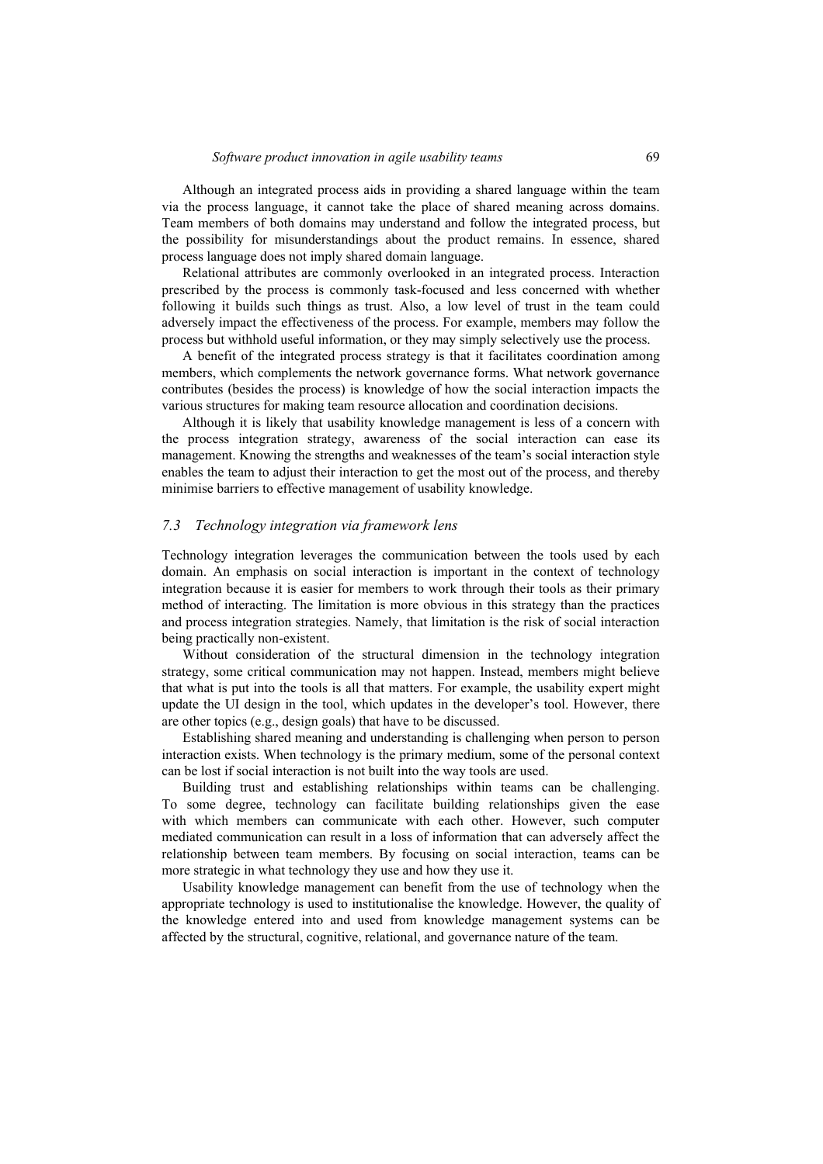Although an integrated process aids in providing a shared language within the team via the process language, it cannot take the place of shared meaning across domains. Team members of both domains may understand and follow the integrated process, but the possibility for misunderstandings about the product remains. In essence, shared process language does not imply shared domain language.

Relational attributes are commonly overlooked in an integrated process. Interaction prescribed by the process is commonly task-focused and less concerned with whether following it builds such things as trust. Also, a low level of trust in the team could adversely impact the effectiveness of the process. For example, members may follow the process but withhold useful information, or they may simply selectively use the process.

A benefit of the integrated process strategy is that it facilitates coordination among members, which complements the network governance forms. What network governance contributes (besides the process) is knowledge of how the social interaction impacts the various structures for making team resource allocation and coordination decisions.

Although it is likely that usability knowledge management is less of a concern with the process integration strategy, awareness of the social interaction can ease its management. Knowing the strengths and weaknesses of the team's social interaction style enables the team to adjust their interaction to get the most out of the process, and thereby minimise barriers to effective management of usability knowledge.

## *7.3 Technology integration via framework lens*

Technology integration leverages the communication between the tools used by each domain. An emphasis on social interaction is important in the context of technology integration because it is easier for members to work through their tools as their primary method of interacting. The limitation is more obvious in this strategy than the practices and process integration strategies. Namely, that limitation is the risk of social interaction being practically non-existent.

Without consideration of the structural dimension in the technology integration strategy, some critical communication may not happen. Instead, members might believe that what is put into the tools is all that matters. For example, the usability expert might update the UI design in the tool, which updates in the developer's tool. However, there are other topics (e.g., design goals) that have to be discussed.

Establishing shared meaning and understanding is challenging when person to person interaction exists. When technology is the primary medium, some of the personal context can be lost if social interaction is not built into the way tools are used.

Building trust and establishing relationships within teams can be challenging. To some degree, technology can facilitate building relationships given the ease with which members can communicate with each other. However, such computer mediated communication can result in a loss of information that can adversely affect the relationship between team members. By focusing on social interaction, teams can be more strategic in what technology they use and how they use it.

Usability knowledge management can benefit from the use of technology when the appropriate technology is used to institutionalise the knowledge. However, the quality of the knowledge entered into and used from knowledge management systems can be affected by the structural, cognitive, relational, and governance nature of the team.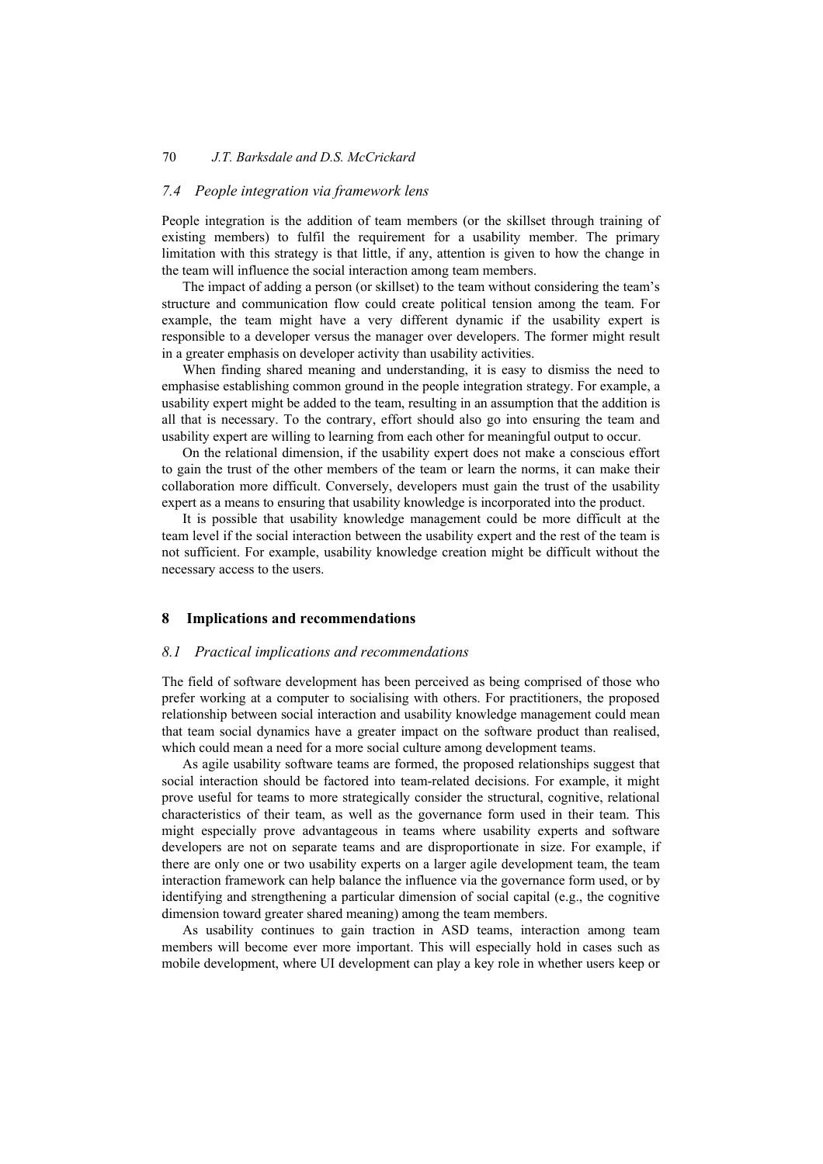## *7.4 People integration via framework lens*

People integration is the addition of team members (or the skillset through training of existing members) to fulfil the requirement for a usability member. The primary limitation with this strategy is that little, if any, attention is given to how the change in the team will influence the social interaction among team members.

The impact of adding a person (or skillset) to the team without considering the team's structure and communication flow could create political tension among the team. For example, the team might have a very different dynamic if the usability expert is responsible to a developer versus the manager over developers. The former might result in a greater emphasis on developer activity than usability activities.

When finding shared meaning and understanding, it is easy to dismiss the need to emphasise establishing common ground in the people integration strategy. For example, a usability expert might be added to the team, resulting in an assumption that the addition is all that is necessary. To the contrary, effort should also go into ensuring the team and usability expert are willing to learning from each other for meaningful output to occur.

On the relational dimension, if the usability expert does not make a conscious effort to gain the trust of the other members of the team or learn the norms, it can make their collaboration more difficult. Conversely, developers must gain the trust of the usability expert as a means to ensuring that usability knowledge is incorporated into the product.

It is possible that usability knowledge management could be more difficult at the team level if the social interaction between the usability expert and the rest of the team is not sufficient. For example, usability knowledge creation might be difficult without the necessary access to the users.

## **8 Implications and recommendations**

#### *8.1 Practical implications and recommendations*

The field of software development has been perceived as being comprised of those who prefer working at a computer to socialising with others. For practitioners, the proposed relationship between social interaction and usability knowledge management could mean that team social dynamics have a greater impact on the software product than realised, which could mean a need for a more social culture among development teams.

As agile usability software teams are formed, the proposed relationships suggest that social interaction should be factored into team-related decisions. For example, it might prove useful for teams to more strategically consider the structural, cognitive, relational characteristics of their team, as well as the governance form used in their team. This might especially prove advantageous in teams where usability experts and software developers are not on separate teams and are disproportionate in size. For example, if there are only one or two usability experts on a larger agile development team, the team interaction framework can help balance the influence via the governance form used, or by identifying and strengthening a particular dimension of social capital (e.g., the cognitive dimension toward greater shared meaning) among the team members.

As usability continues to gain traction in ASD teams, interaction among team members will become ever more important. This will especially hold in cases such as mobile development, where UI development can play a key role in whether users keep or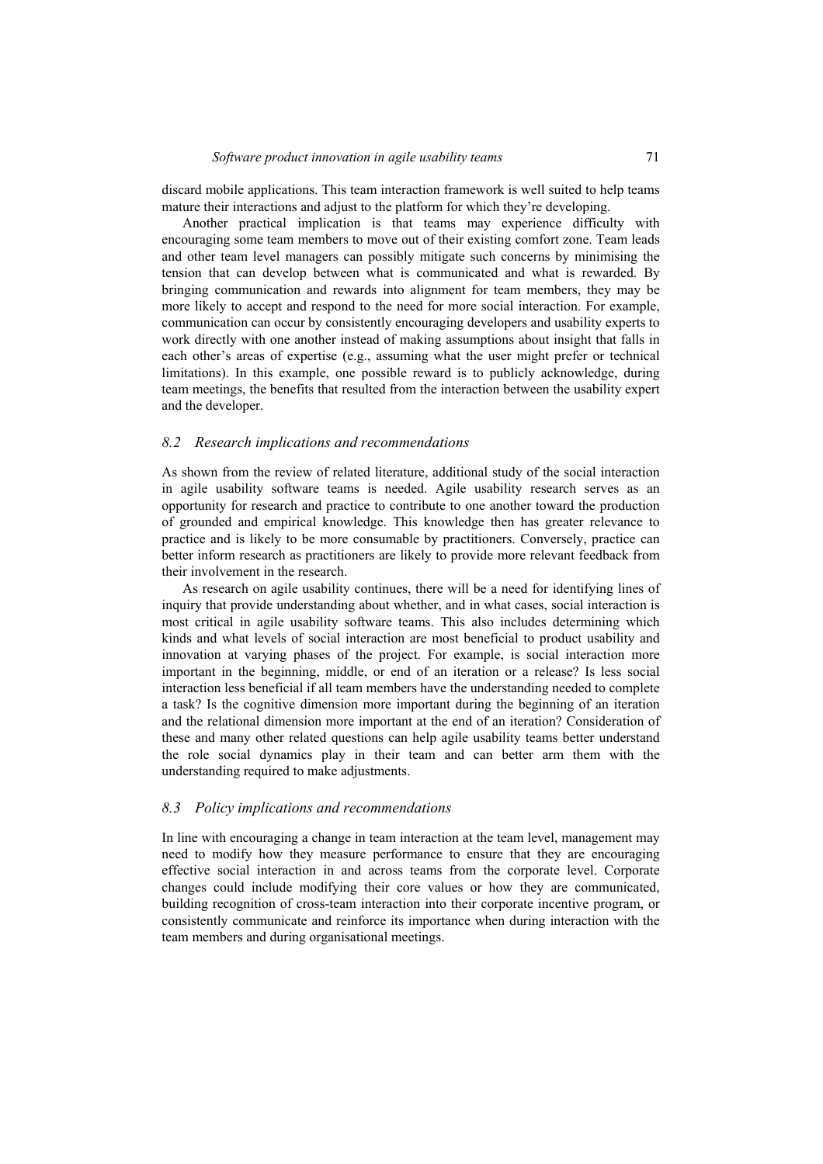discard mobile applications. This team interaction framework is well suited to help teams mature their interactions and adjust to the platform for which they're developing.

Another practical implication is that teams may experience difficulty with encouraging some team members to move out of their existing comfort zone. Team leads and other team level managers can possibly mitigate such concerns by minimising the tension that can develop between what is communicated and what is rewarded. By bringing communication and rewards into alignment for team members, they may be more likely to accept and respond to the need for more social interaction. For example, communication can occur by consistently encouraging developers and usability experts to work directly with one another instead of making assumptions about insight that falls in each other's areas of expertise (e.g., assuming what the user might prefer or technical limitations). In this example, one possible reward is to publicly acknowledge, during team meetings, the benefits that resulted from the interaction between the usability expert and the developer.

# *8.2 Research implications and recommendations*

As shown from the review of related literature, additional study of the social interaction in agile usability software teams is needed. Agile usability research serves as an opportunity for research and practice to contribute to one another toward the production of grounded and empirical knowledge. This knowledge then has greater relevance to practice and is likely to be more consumable by practitioners. Conversely, practice can better inform research as practitioners are likely to provide more relevant feedback from their involvement in the research.

As research on agile usability continues, there will be a need for identifying lines of inquiry that provide understanding about whether, and in what cases, social interaction is most critical in agile usability software teams. This also includes determining which kinds and what levels of social interaction are most beneficial to product usability and innovation at varying phases of the project. For example, is social interaction more important in the beginning, middle, or end of an iteration or a release? Is less social interaction less beneficial if all team members have the understanding needed to complete a task? Is the cognitive dimension more important during the beginning of an iteration and the relational dimension more important at the end of an iteration? Consideration of these and many other related questions can help agile usability teams better understand the role social dynamics play in their team and can better arm them with the understanding required to make adjustments.

## *8.3 Policy implications and recommendations*

In line with encouraging a change in team interaction at the team level, management may need to modify how they measure performance to ensure that they are encouraging effective social interaction in and across teams from the corporate level. Corporate changes could include modifying their core values or how they are communicated, building recognition of cross-team interaction into their corporate incentive program, or consistently communicate and reinforce its importance when during interaction with the team members and during organisational meetings.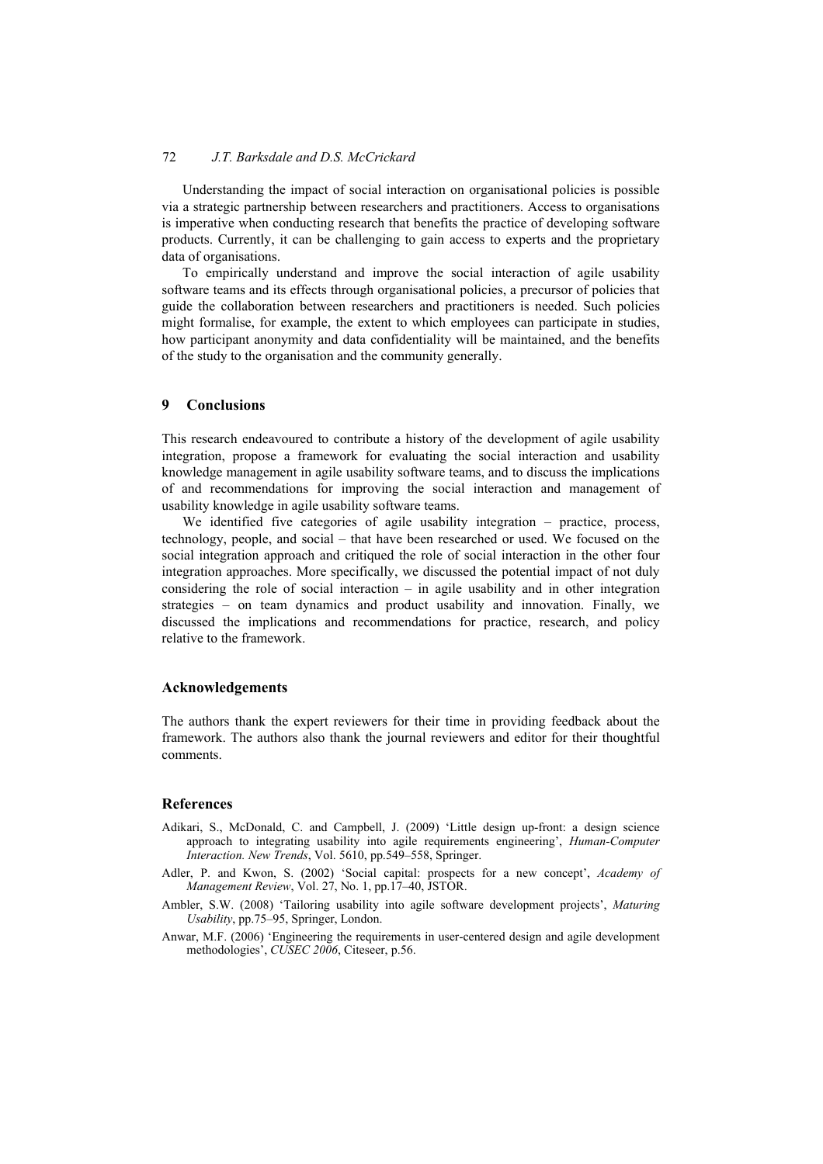Understanding the impact of social interaction on organisational policies is possible via a strategic partnership between researchers and practitioners. Access to organisations is imperative when conducting research that benefits the practice of developing software products. Currently, it can be challenging to gain access to experts and the proprietary data of organisations.

To empirically understand and improve the social interaction of agile usability software teams and its effects through organisational policies, a precursor of policies that guide the collaboration between researchers and practitioners is needed. Such policies might formalise, for example, the extent to which employees can participate in studies, how participant anonymity and data confidentiality will be maintained, and the benefits of the study to the organisation and the community generally.

# **9 Conclusions**

This research endeavoured to contribute a history of the development of agile usability integration, propose a framework for evaluating the social interaction and usability knowledge management in agile usability software teams, and to discuss the implications of and recommendations for improving the social interaction and management of usability knowledge in agile usability software teams.

We identified five categories of agile usability integration – practice, process, technology, people, and social – that have been researched or used. We focused on the social integration approach and critiqued the role of social interaction in the other four integration approaches. More specifically, we discussed the potential impact of not duly considering the role of social interaction – in agile usability and in other integration strategies – on team dynamics and product usability and innovation. Finally, we discussed the implications and recommendations for practice, research, and policy relative to the framework.

## **Acknowledgements**

The authors thank the expert reviewers for their time in providing feedback about the framework. The authors also thank the journal reviewers and editor for their thoughtful comments.

#### **References**

- Adikari, S., McDonald, C. and Campbell, J. (2009) 'Little design up-front: a design science approach to integrating usability into agile requirements engineering', *Human-Computer Interaction. New Trends*, Vol. 5610, pp.549–558, Springer.
- Adler, P. and Kwon, S. (2002) 'Social capital: prospects for a new concept', *Academy of Management Review*, Vol. 27, No. 1, pp.17–40, JSTOR.
- Ambler, S.W. (2008) 'Tailoring usability into agile software development projects', *Maturing Usability*, pp.75–95, Springer, London.
- Anwar, M.F. (2006) 'Engineering the requirements in user-centered design and agile development methodologies', *CUSEC 2006*, Citeseer, p.56.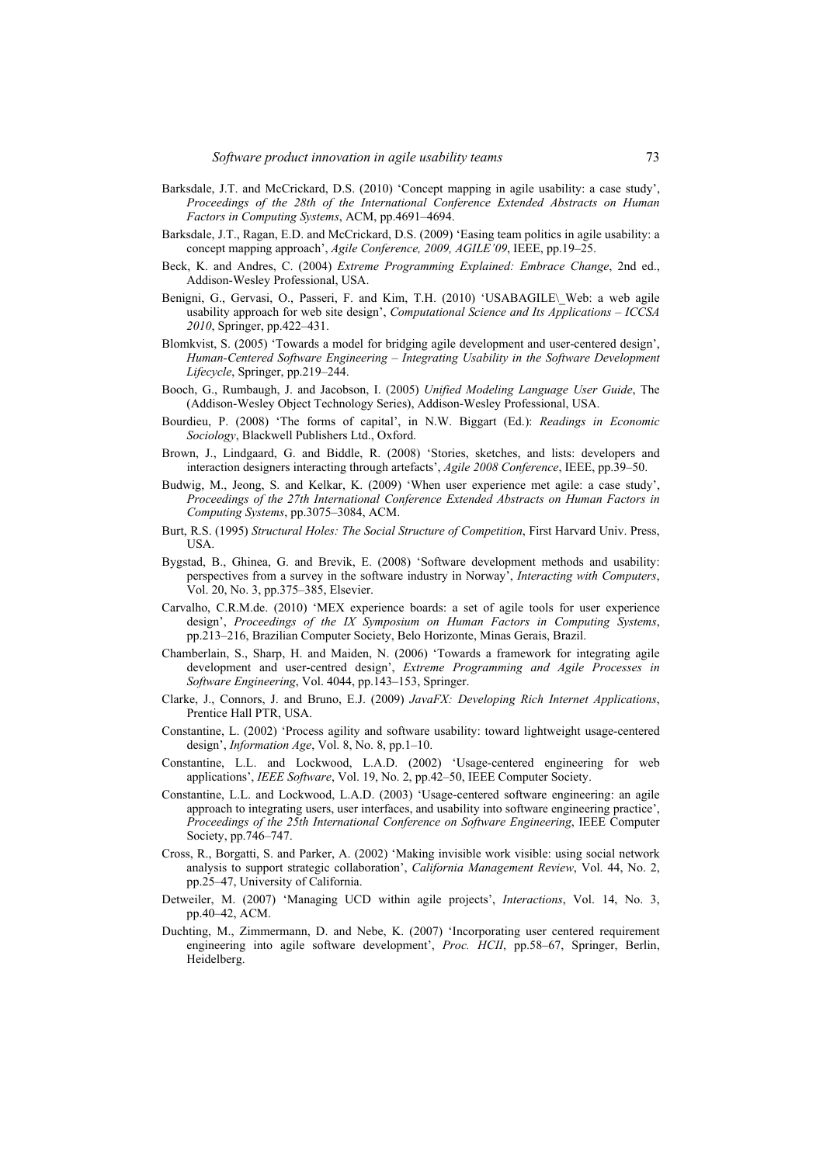- Barksdale, J.T. and McCrickard, D.S. (2010) 'Concept mapping in agile usability: a case study', *Proceedings of the 28th of the International Conference Extended Abstracts on Human Factors in Computing Systems*, ACM, pp.4691–4694.
- Barksdale, J.T., Ragan, E.D. and McCrickard, D.S. (2009) 'Easing team politics in agile usability: a concept mapping approach', *Agile Conference, 2009, AGILE'09*, IEEE, pp.19–25.
- Beck, K. and Andres, C. (2004) *Extreme Programming Explained: Embrace Change*, 2nd ed., Addison-Wesley Professional, USA.
- Benigni, G., Gervasi, O., Passeri, F. and Kim, T.H. (2010) 'USABAGILE\ Web: a web agile usability approach for web site design', *Computational Science and Its Applications – ICCSA 2010*, Springer, pp.422–431.
- Blomkvist, S. (2005) 'Towards a model for bridging agile development and user-centered design', *Human-Centered Software Engineering – Integrating Usability in the Software Development Lifecycle*, Springer, pp.219–244.
- Booch, G., Rumbaugh, J. and Jacobson, I. (2005) *Unified Modeling Language User Guide*, The (Addison-Wesley Object Technology Series), Addison-Wesley Professional, USA.
- Bourdieu, P. (2008) 'The forms of capital', in N.W. Biggart (Ed.): *Readings in Economic Sociology*, Blackwell Publishers Ltd., Oxford.
- Brown, J., Lindgaard, G. and Biddle, R. (2008) 'Stories, sketches, and lists: developers and interaction designers interacting through artefacts', *Agile 2008 Conference*, IEEE, pp.39–50.
- Budwig, M., Jeong, S. and Kelkar, K. (2009) 'When user experience met agile: a case study', *Proceedings of the 27th International Conference Extended Abstracts on Human Factors in Computing Systems*, pp.3075–3084, ACM.
- Burt, R.S. (1995) *Structural Holes: The Social Structure of Competition*, First Harvard Univ. Press, USA.
- Bygstad, B., Ghinea, G. and Brevik, E. (2008) 'Software development methods and usability: perspectives from a survey in the software industry in Norway', *Interacting with Computers*, Vol. 20, No. 3, pp.375–385, Elsevier.
- Carvalho, C.R.M.de. (2010) 'MEX experience boards: a set of agile tools for user experience design', *Proceedings of the IX Symposium on Human Factors in Computing Systems*, pp.213–216, Brazilian Computer Society, Belo Horizonte, Minas Gerais, Brazil.
- Chamberlain, S., Sharp, H. and Maiden, N. (2006) 'Towards a framework for integrating agile development and user-centred design', *Extreme Programming and Agile Processes in Software Engineering*, Vol. 4044, pp.143–153, Springer.
- Clarke, J., Connors, J. and Bruno, E.J. (2009) *JavaFX: Developing Rich Internet Applications*, Prentice Hall PTR, USA.
- Constantine, L. (2002) 'Process agility and software usability: toward lightweight usage-centered design', *Information Age*, Vol. 8, No. 8, pp.1–10.
- Constantine, L.L. and Lockwood, L.A.D. (2002) 'Usage-centered engineering for web applications', *IEEE Software*, Vol. 19, No. 2, pp.42–50, IEEE Computer Society.
- Constantine, L.L. and Lockwood, L.A.D. (2003) 'Usage-centered software engineering: an agile approach to integrating users, user interfaces, and usability into software engineering practice', *Proceedings of the 25th International Conference on Software Engineering*, IEEE Computer Society, pp.746–747.
- Cross, R., Borgatti, S. and Parker, A. (2002) 'Making invisible work visible: using social network analysis to support strategic collaboration', *California Management Review*, Vol. 44, No. 2, pp.25–47, University of California.
- Detweiler, M. (2007) 'Managing UCD within agile projects', *Interactions*, Vol. 14, No. 3, pp.40–42, ACM.
- Duchting, M., Zimmermann, D. and Nebe, K. (2007) 'Incorporating user centered requirement engineering into agile software development', *Proc. HCII*, pp.58–67, Springer, Berlin, Heidelberg.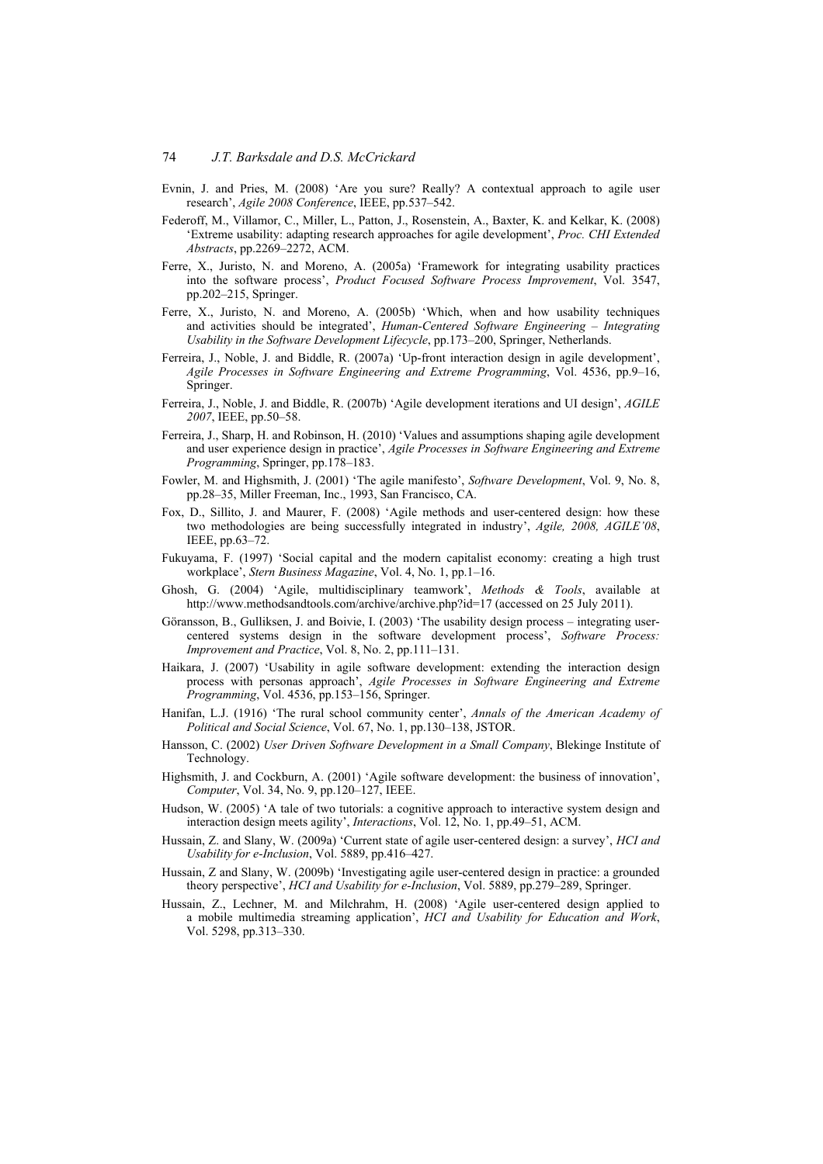- Evnin, J. and Pries, M. (2008) 'Are you sure? Really? A contextual approach to agile user research', *Agile 2008 Conference*, IEEE, pp.537–542.
- Federoff, M., Villamor, C., Miller, L., Patton, J., Rosenstein, A., Baxter, K. and Kelkar, K. (2008) 'Extreme usability: adapting research approaches for agile development', *Proc. CHI Extended Abstracts*, pp.2269–2272, ACM.
- Ferre, X., Juristo, N. and Moreno, A. (2005a) 'Framework for integrating usability practices into the software process', *Product Focused Software Process Improvement*, Vol. 3547, pp.202–215, Springer.
- Ferre, X., Juristo, N. and Moreno, A. (2005b) 'Which, when and how usability techniques and activities should be integrated', *Human-Centered Software Engineering – Integrating Usability in the Software Development Lifecycle*, pp.173–200, Springer, Netherlands.
- Ferreira, J., Noble, J. and Biddle, R. (2007a) 'Up-front interaction design in agile development', *Agile Processes in Software Engineering and Extreme Programming*, Vol. 4536, pp.9–16, Springer.
- Ferreira, J., Noble, J. and Biddle, R. (2007b) 'Agile development iterations and UI design', *AGILE 2007*, IEEE, pp.50–58.
- Ferreira, J., Sharp, H. and Robinson, H. (2010) 'Values and assumptions shaping agile development and user experience design in practice', *Agile Processes in Software Engineering and Extreme Programming*, Springer, pp.178–183.
- Fowler, M. and Highsmith, J. (2001) 'The agile manifesto', *Software Development*, Vol. 9, No. 8, pp.28–35, Miller Freeman, Inc., 1993, San Francisco, CA.
- Fox, D., Sillito, J. and Maurer, F. (2008) 'Agile methods and user-centered design: how these two methodologies are being successfully integrated in industry', *Agile, 2008, AGILE'08*, IEEE, pp.63–72.
- Fukuyama, F. (1997) 'Social capital and the modern capitalist economy: creating a high trust workplace', *Stern Business Magazine*, Vol. 4, No. 1, pp.1–16.
- Ghosh, G. (2004) 'Agile, multidisciplinary teamwork', *Methods & Tools*, available at http://www.methodsandtools.com/archive/archive.php?id=17 (accessed on 25 July 2011).
- Göransson, B., Gulliksen, J. and Boivie, I. (2003) 'The usability design process integrating usercentered systems design in the software development process', *Software Process: Improvement and Practice*, Vol. 8, No. 2, pp.111–131.
- Haikara, J. (2007) 'Usability in agile software development: extending the interaction design process with personas approach', *Agile Processes in Software Engineering and Extreme Programming*, Vol. 4536, pp.153–156, Springer.
- Hanifan, L.J. (1916) 'The rural school community center', *Annals of the American Academy of Political and Social Science*, Vol. 67, No. 1, pp.130–138, JSTOR.
- Hansson, C. (2002) *User Driven Software Development in a Small Company*, Blekinge Institute of **Technology**
- Highsmith, J. and Cockburn, A. (2001) 'Agile software development: the business of innovation', *Computer*, Vol. 34, No. 9, pp.120–127, IEEE.
- Hudson, W. (2005) 'A tale of two tutorials: a cognitive approach to interactive system design and interaction design meets agility', *Interactions*, Vol. 12, No. 1, pp.49–51, ACM.
- Hussain, Z. and Slany, W. (2009a) 'Current state of agile user-centered design: a survey', *HCI and Usability for e-Inclusion*, Vol. 5889, pp.416–427.
- Hussain, Z and Slany, W. (2009b) 'Investigating agile user-centered design in practice: a grounded theory perspective', *HCI and Usability for e-Inclusion*, Vol. 5889, pp.279–289, Springer.
- Hussain, Z., Lechner, M. and Milchrahm, H. (2008) 'Agile user-centered design applied to a mobile multimedia streaming application', *HCI and Usability for Education and Work*, Vol. 5298, pp.313–330.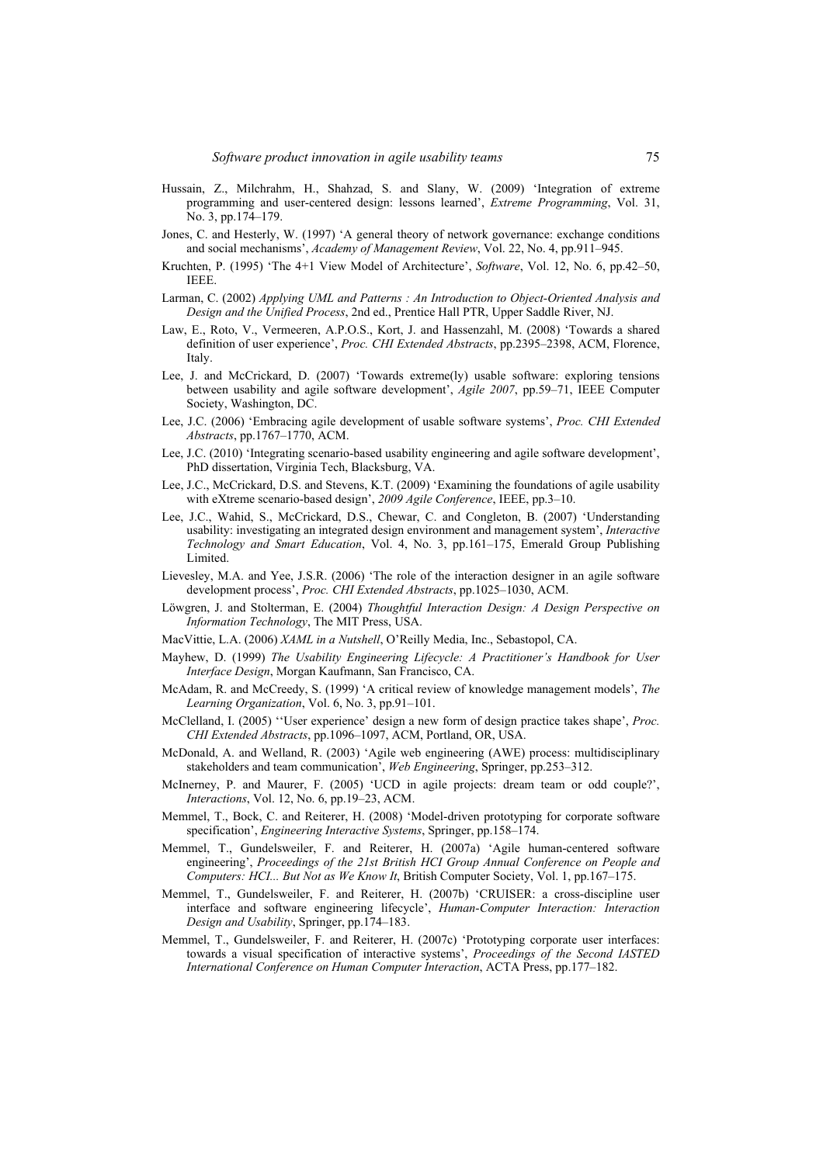- Hussain, Z., Milchrahm, H., Shahzad, S. and Slany, W. (2009) 'Integration of extreme programming and user-centered design: lessons learned', *Extreme Programming*, Vol. 31, No. 3, pp.174–179.
- Jones, C. and Hesterly, W. (1997) 'A general theory of network governance: exchange conditions and social mechanisms', *Academy of Management Review*, Vol. 22, No. 4, pp.911–945.
- Kruchten, P. (1995) 'The 4+1 View Model of Architecture', *Software*, Vol. 12, No. 6, pp.42–50, IEEE.
- Larman, C. (2002) *Applying UML and Patterns : An Introduction to Object-Oriented Analysis and Design and the Unified Process*, 2nd ed., Prentice Hall PTR, Upper Saddle River, NJ.
- Law, E., Roto, V., Vermeeren, A.P.O.S., Kort, J. and Hassenzahl, M. (2008) 'Towards a shared definition of user experience', *Proc. CHI Extended Abstracts*, pp.2395–2398, ACM, Florence, Italy.
- Lee, J. and McCrickard, D. (2007) 'Towards extreme(ly) usable software: exploring tensions between usability and agile software development', *Agile 2007*, pp.59–71, IEEE Computer Society, Washington, DC.
- Lee, J.C. (2006) 'Embracing agile development of usable software systems', *Proc. CHI Extended Abstracts*, pp.1767–1770, ACM.
- Lee, J.C. (2010) 'Integrating scenario-based usability engineering and agile software development', PhD dissertation, Virginia Tech, Blacksburg, VA.
- Lee, J.C., McCrickard, D.S. and Stevens, K.T. (2009) 'Examining the foundations of agile usability with eXtreme scenario-based design', *2009 Agile Conference*, IEEE, pp.3–10.
- Lee, J.C., Wahid, S., McCrickard, D.S., Chewar, C. and Congleton, B. (2007) 'Understanding usability: investigating an integrated design environment and management system', *Interactive Technology and Smart Education*, Vol. 4, No. 3, pp.161–175, Emerald Group Publishing **Limited**
- Lievesley, M.A. and Yee, J.S.R. (2006) 'The role of the interaction designer in an agile software development process', *Proc. CHI Extended Abstracts*, pp.1025–1030, ACM.
- Löwgren, J. and Stolterman, E. (2004) *Thoughtful Interaction Design: A Design Perspective on Information Technology*, The MIT Press, USA.
- MacVittie, L.A. (2006) *XAML in a Nutshell*, O'Reilly Media, Inc., Sebastopol, CA.
- Mayhew, D. (1999) *The Usability Engineering Lifecycle: A Practitioner's Handbook for User Interface Design*, Morgan Kaufmann, San Francisco, CA.
- McAdam, R. and McCreedy, S. (1999) 'A critical review of knowledge management models', *The Learning Organization*, Vol. 6, No. 3, pp.91–101.
- McClelland, I. (2005) ''User experience' design a new form of design practice takes shape', *Proc. CHI Extended Abstracts*, pp.1096–1097, ACM, Portland, OR, USA.
- McDonald, A. and Welland, R. (2003) 'Agile web engineering (AWE) process: multidisciplinary stakeholders and team communication', *Web Engineering*, Springer, pp.253–312.
- McInerney, P. and Maurer, F. (2005) 'UCD in agile projects: dream team or odd couple?', *Interactions*, Vol. 12, No. 6, pp.19–23, ACM.
- Memmel, T., Bock, C. and Reiterer, H. (2008) 'Model-driven prototyping for corporate software specification', *Engineering Interactive Systems*, Springer, pp.158–174.
- Memmel, T., Gundelsweiler, F. and Reiterer, H. (2007a) 'Agile human-centered software engineering', *Proceedings of the 21st British HCI Group Annual Conference on People and Computers: HCI... But Not as We Know It*, British Computer Society, Vol. 1, pp.167–175.
- Memmel, T., Gundelsweiler, F. and Reiterer, H. (2007b) 'CRUISER: a cross-discipline user interface and software engineering lifecycle', *Human-Computer Interaction: Interaction Design and Usability*, Springer, pp.174–183.
- Memmel, T., Gundelsweiler, F. and Reiterer, H. (2007c) 'Prototyping corporate user interfaces: towards a visual specification of interactive systems', *Proceedings of the Second IASTED International Conference on Human Computer Interaction*, ACTA Press, pp.177–182.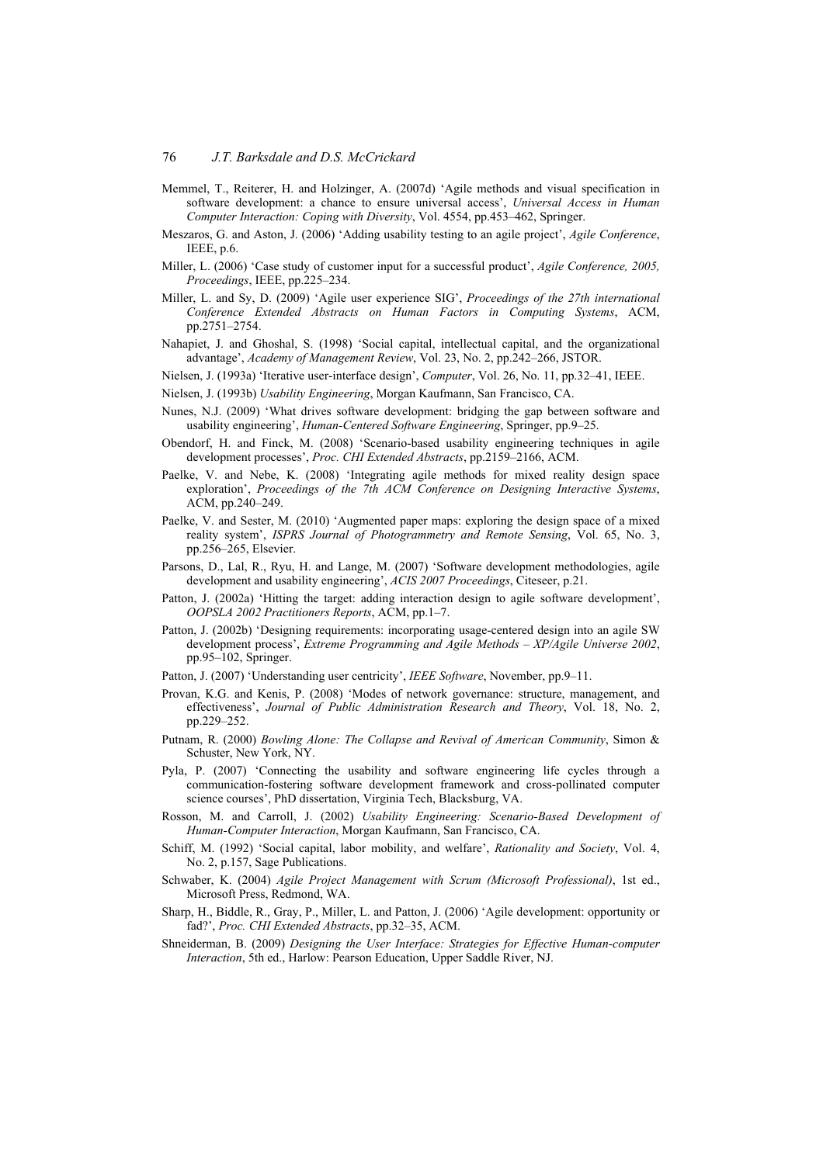- Memmel, T., Reiterer, H. and Holzinger, A. (2007d) 'Agile methods and visual specification in software development: a chance to ensure universal access', *Universal Access in Human Computer Interaction: Coping with Diversity*, Vol. 4554, pp.453–462, Springer.
- Meszaros, G. and Aston, J. (2006) 'Adding usability testing to an agile project', *Agile Conference*, IEEE, p.6.
- Miller, L. (2006) 'Case study of customer input for a successful product', *Agile Conference, 2005, Proceedings*, IEEE, pp.225–234.
- Miller, L. and Sy, D. (2009) 'Agile user experience SIG', *Proceedings of the 27th international Conference Extended Abstracts on Human Factors in Computing Systems*, ACM, pp.2751–2754.
- Nahapiet, J. and Ghoshal, S. (1998) 'Social capital, intellectual capital, and the organizational advantage', *Academy of Management Review*, Vol. 23, No. 2, pp.242–266, JSTOR.
- Nielsen, J. (1993a) 'Iterative user-interface design', *Computer*, Vol. 26, No. 11, pp.32–41, IEEE.
- Nielsen, J. (1993b) *Usability Engineering*, Morgan Kaufmann, San Francisco, CA.
- Nunes, N.J. (2009) 'What drives software development: bridging the gap between software and usability engineering', *Human-Centered Software Engineering*, Springer, pp.9–25.
- Obendorf, H. and Finck, M. (2008) 'Scenario-based usability engineering techniques in agile development processes', *Proc. CHI Extended Abstracts*, pp.2159–2166, ACM.
- Paelke, V. and Nebe, K. (2008) 'Integrating agile methods for mixed reality design space exploration', *Proceedings of the 7th ACM Conference on Designing Interactive Systems*, ACM, pp.240–249.
- Paelke, V. and Sester, M. (2010) 'Augmented paper maps: exploring the design space of a mixed reality system', *ISPRS Journal of Photogrammetry and Remote Sensing*, Vol. 65, No. 3, pp.256–265, Elsevier.
- Parsons, D., Lal, R., Ryu, H. and Lange, M. (2007) 'Software development methodologies, agile development and usability engineering', *ACIS 2007 Proceedings*, Citeseer, p.21.
- Patton, J. (2002a) 'Hitting the target: adding interaction design to agile software development', *OOPSLA 2002 Practitioners Reports*, ACM, pp.1–7.
- Patton, J. (2002b) 'Designing requirements: incorporating usage-centered design into an agile SW development process', *Extreme Programming and Agile Methods – XP/Agile Universe 2002*, pp.95–102, Springer.
- Patton, J. (2007) 'Understanding user centricity', *IEEE Software*, November, pp.9–11.
- Provan, K.G. and Kenis, P. (2008) 'Modes of network governance: structure, management, and effectiveness', *Journal of Public Administration Research and Theory*, Vol. 18, No. 2, pp.229–252.
- Putnam, R. (2000) *Bowling Alone: The Collapse and Revival of American Community*, Simon & Schuster, New York, NY.
- Pyla, P. (2007) 'Connecting the usability and software engineering life cycles through a communication-fostering software development framework and cross-pollinated computer science courses', PhD dissertation, Virginia Tech, Blacksburg, VA.
- Rosson, M. and Carroll, J. (2002) *Usability Engineering: Scenario-Based Development of Human-Computer Interaction*, Morgan Kaufmann, San Francisco, CA.
- Schiff, M. (1992) 'Social capital, labor mobility, and welfare', *Rationality and Society*, Vol. 4, No. 2, p.157, Sage Publications.
- Schwaber, K. (2004) *Agile Project Management with Scrum (Microsoft Professional)*, 1st ed., Microsoft Press, Redmond, WA.
- Sharp, H., Biddle, R., Gray, P., Miller, L. and Patton, J. (2006) 'Agile development: opportunity or fad?', *Proc. CHI Extended Abstracts*, pp.32–35, ACM.
- Shneiderman, B. (2009) *Designing the User Interface: Strategies for Effective Human-computer Interaction*, 5th ed., Harlow: Pearson Education, Upper Saddle River, NJ.